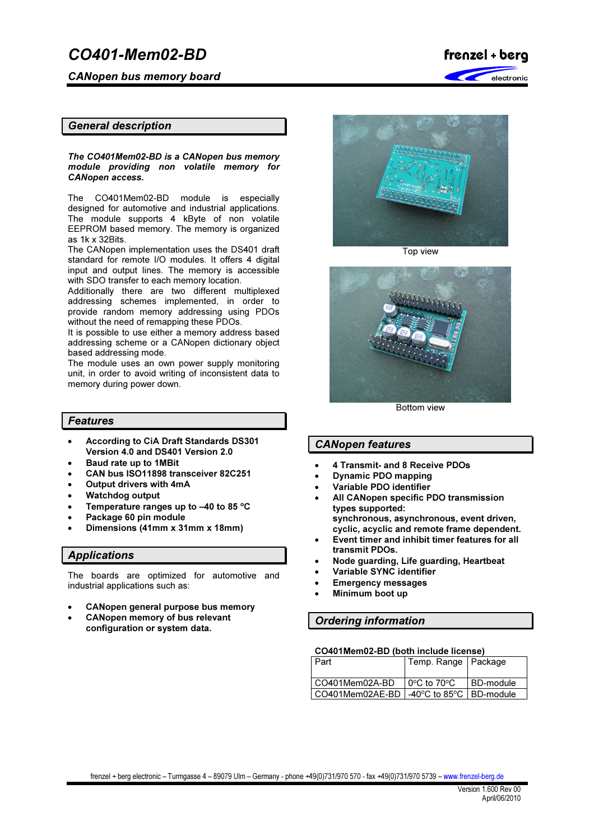CANopen bus memory board



# General description

The CO401Mem02-BD is a CANopen bus memory module providing non volatile memory for CANopen access.

The CO401Mem02-BD module is especially designed for automotive and industrial applications. The module supports 4 kByte of non volatile EEPROM based memory. The memory is organized as 1k x 32Bits.

The CANopen implementation uses the DS401 draft standard for remote I/O modules. It offers 4 digital input and output lines. The memory is accessible with SDO transfer to each memory location.

Additionally there are two different multiplexed addressing schemes implemented, in order to provide random memory addressing using PDOs without the need of remapping these PDOs.

It is possible to use either a memory address based addressing scheme or a CANopen dictionary object based addressing mode.

The module uses an own power supply monitoring unit, in order to avoid writing of inconsistent data to memory during power down.

## Features

- According to CiA Draft Standards DS301 Version 4.0 and DS401 Version 2.0
- Baud rate up to 1MBit
- CAN bus ISO11898 transceiver 82C251
- Output drivers with 4mA
- Watchdog output
- Temperature ranges up to  $-40$  to 85 °C
- Package 60 pin module
- Dimensions (41mm x 31mm x 18mm)

## Applications

The boards are optimized for automotive and industrial applications such as:

- CANopen general purpose bus memory
- CANopen memory of bus relevant configuration or system data.



Top view



Bottom view

# CANopen features

- 4 Transmit- and 8 Receive PDOs
- Dynamic PDO mapping
- Variable PDO identifier
- All CANopen specific PDO transmission types supported: synchronous, asynchronous, event driven,
- cyclic, acyclic and remote frame dependent. • Event timer and inhibit timer features for all transmit PDOs.
- Node guarding, Life guarding, Heartbeat
- Variable SYNC identifier
- Emergency messages
- Minimum boot up

## Ordering information

#### CO401Mem02-BD (both include license)

| I Part                                                                           | Temp. Range   Package                      |             |
|----------------------------------------------------------------------------------|--------------------------------------------|-------------|
| CO401Mem02A-BD                                                                   | $\overline{10^{\circ}C}$ to 70 $^{\circ}C$ | l BD-module |
| $\mid$ CO401Mem02AE-BD $\mid$ -40 $\degree$ C to 85 $\degree$ C $\mid$ BD-module |                                            |             |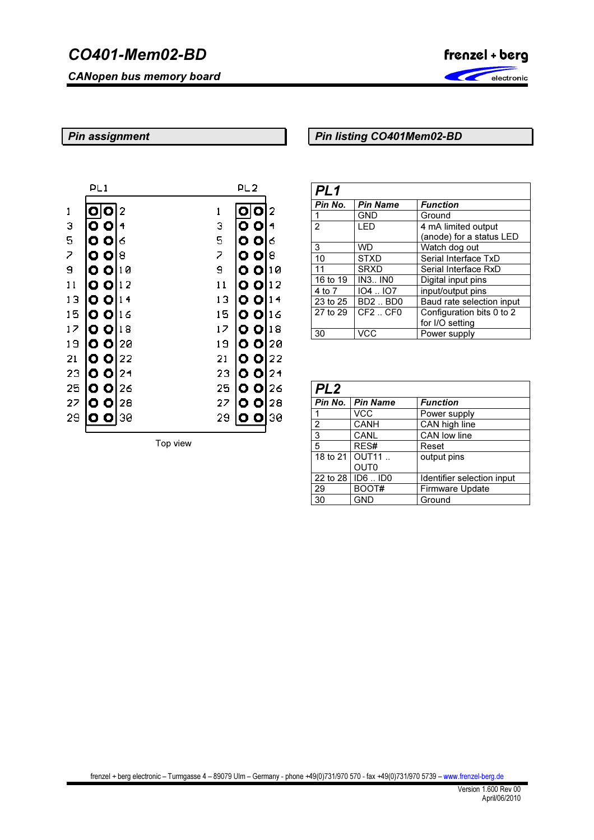CANopen bus memory board



# Pin assignment

# Pin listing CO401Mem02-BD

|                | PL 1                   |                |    | PL 2                   |                |
|----------------|------------------------|----------------|----|------------------------|----------------|
| 1              | О                      | 2              | 1  | lO                     |                |
|                | O<br>Ο                 | 4              | 3  | $\bullet$<br>О         | 4              |
| 3<br>5<br>7    | O<br>$\bullet$         | 6              | 5  | O<br>O                 | 6              |
|                | O<br>$\bullet$         | 8              | 7  | O<br>$\bullet$         | 8              |
| $\overline{a}$ | Ο<br>$\bullet$         | 10             | 9  | O<br>$\bullet$         | 10             |
| 11             | O<br>$\bullet$         | 12             | 11 | $\bullet$<br>$\bullet$ | 12             |
| 13             | $\bullet$<br>$\bullet$ | 14             | 13 | O<br>$\bullet$         | 14             |
| 15             | o o                    | 16             | 15 | $\bullet$<br>$\bullet$ | 16             |
| 17             | o o                    | 18             | 17 | $\bullet$<br>$\bullet$ | 18             |
| 19             | ၀ ၀                    | 20             | 19 | ၀ ၀                    | 20             |
| 21             | $\circ$ $\circ$        | 22             | 21 | 0 Ol                   | 22             |
| 23             | $\bullet$              | 2 <sub>1</sub> | 23 | 0 O                    | 2 <sub>1</sub> |
| 25             | 0 O                    | 26             | 25 | O<br>$\bullet$         | 26             |
| 27             | $\bullet$<br>O         | 28             | 27 | $\bullet$<br>$\bullet$ | 28             |
| 29             | $\bullet$<br>ο         | 30             | 29 | o o                    | 30             |
|                |                        |                |    |                        |                |

Top view

| PL <sub>1</sub> |                                  |                           |
|-----------------|----------------------------------|---------------------------|
| Pin No.         | <b>Pin Name</b>                  | <b>Function</b>           |
|                 | <b>GND</b>                       | Ground                    |
| $\overline{2}$  | LED                              | 4 mA limited output       |
|                 |                                  | (anode) for a status LED  |
| 3               | <b>WD</b>                        | Watch dog out             |
| 10              | <b>STXD</b>                      | Serial Interface TxD      |
| 11              | SRXD                             | Serial Interface RxD      |
| 16 to 19        | <b>IN3 INO</b>                   | Digital input pins        |
| 4 to 7          | 104.107                          | input/output pins         |
| 23 to 25        | <b>BD2BD0</b>                    | Baud rate selection input |
| 27 to 29        | CF <sub>2</sub> .CF <sub>0</sub> | Configuration bits 0 to 2 |
|                 |                                  | for I/O setting           |
| 30              | VCC                              | Power supply              |

| PL <sub>2</sub> |                                      |                            |
|-----------------|--------------------------------------|----------------------------|
|                 | Pin No.   Pin Name                   | <b>Function</b>            |
|                 | VCC                                  | Power supply               |
| 2               | CANH                                 | CAN high line              |
| $\overline{3}$  | CANL                                 | CAN low line               |
| $\overline{5}$  | RES#                                 | Reset                      |
|                 | 18 to 21   OUT11<br>OUT <sub>0</sub> | output pins                |
| 22 to 28        | $ID6$ $ID0$                          | Identifier selection input |
| 29              | BOOT#                                | Firmware Update            |
| 30              | <b>GND</b>                           | Ground                     |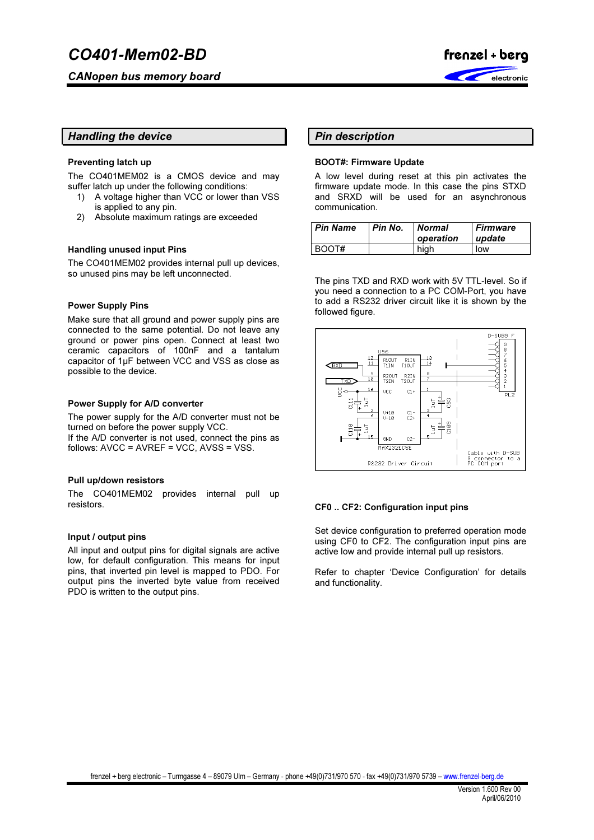

# Handling the device

### Preventing latch up

The CO401MEM02 is a CMOS device and may suffer latch up under the following conditions:

- 1) A voltage higher than VCC or lower than VSS is applied to any pin.
- 2) Absolute maximum ratings are exceeded

#### Handling unused input Pins

The CO401MEM02 provides internal pull up devices, so unused pins may be left unconnected.

#### Power Supply Pins

Make sure that all ground and power supply pins are connected to the same potential. Do not leave any ground or power pins open. Connect at least two ceramic capacitors of 100nF and a tantalum capacitor of 1µF between VCC and VSS as close as possible to the device.

#### Power Supply for A/D converter

The power supply for the A/D converter must not be turned on before the power supply VCC. If the A/D converter is not used, connect the pins as

follows: AVCC = AVREF = VCC, AVSS = VSS.

#### Pull up/down resistors

The CO401MEM02 provides internal pull up resistors.

#### Input / output pins

All input and output pins for digital signals are active low, for default configuration. This means for input pins, that inverted pin level is mapped to PDO. For output pins the inverted byte value from received PDO is written to the output pins.

# Pin description

#### BOOT#: Firmware Update

A low level during reset at this pin activates the firmware update mode. In this case the pins STXD and SRXD will be used for an asynchronous communication.

| <b>Pin Name</b> | Pin No. | Normal<br>operation | <b>Firmware</b><br>update |
|-----------------|---------|---------------------|---------------------------|
| BOOT#           |         | hiah                | low                       |

The pins TXD and RXD work with 5V TTL-level. So if you need a connection to a PC COM-Port, you have to add a RS232 driver circuit like it is shown by the followed figure.



#### CF0 .. CF2: Configuration input pins

Set device configuration to preferred operation mode using CF0 to CF2. The configuration input pins are active low and provide internal pull up resistors.

Refer to chapter 'Device Configuration' for details and functionality.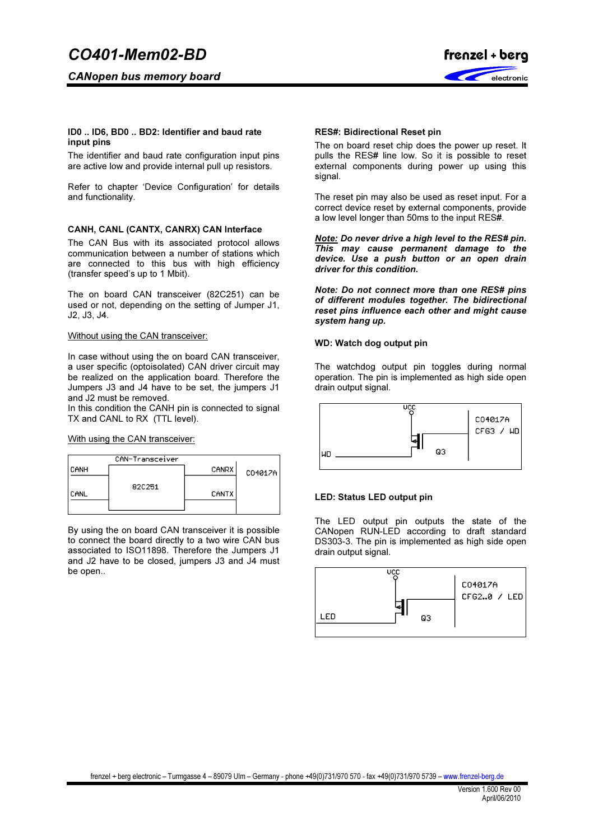

#### ID0 .. ID6, BD0 .. BD2: Identifier and baud rate input pins

The identifier and baud rate configuration input pins are active low and provide internal pull up resistors.

Refer to chapter 'Device Configuration' for details and functionality.

#### CANH, CANL (CANTX, CANRX) CAN Interface

The CAN Bus with its associated protocol allows communication between a number of stations which are connected to this bus with high efficiency (transfer speed's up to 1 Mbit).

The on board CAN transceiver (82C251) can be used or not, depending on the setting of Jumper J1, J2, J3, J4.

#### Without using the CAN transceiver:

In case without using the on board CAN transceiver, a user specific (optoisolated) CAN driver circuit may be realized on the application board. Therefore the Jumpers J3 and J4 have to be set, the jumpers J1 and J2 must be removed.

In this condition the CANH pin is connected to signal TX and CANL to RX (TTL level).

#### With using the CAN transceiver:



By using the on board CAN transceiver it is possible to connect the board directly to a two wire CAN bus associated to ISO11898. Therefore the Jumpers J1 and J2 have to be closed, jumpers J3 and J4 must be open..

#### RES#: Bidirectional Reset pin

The on board reset chip does the power up reset. It pulls the RES# line low. So it is possible to reset external components during power up using this signal.

The reset pin may also be used as reset input. For a correct device reset by external components, provide a low level longer than 50ms to the input RES#.

Note: Do never drive a high level to the RES# pin. This may cause permanent damage to the device. Use a push button or an open drain driver for this condition.

Note: Do not connect more than one RES# pins of different modules together. The bidirectional reset pins influence each other and might cause system hang up.

#### WD: Watch dog output pin

The watchdog output pin toggles during normal operation. The pin is implemented as high side open drain output signal.



#### LED: Status LED output pin

The LED output pin outputs the state of the CANopen RUN-LED according to draft standard DS303-3. The pin is implemented as high side open drain output signal.

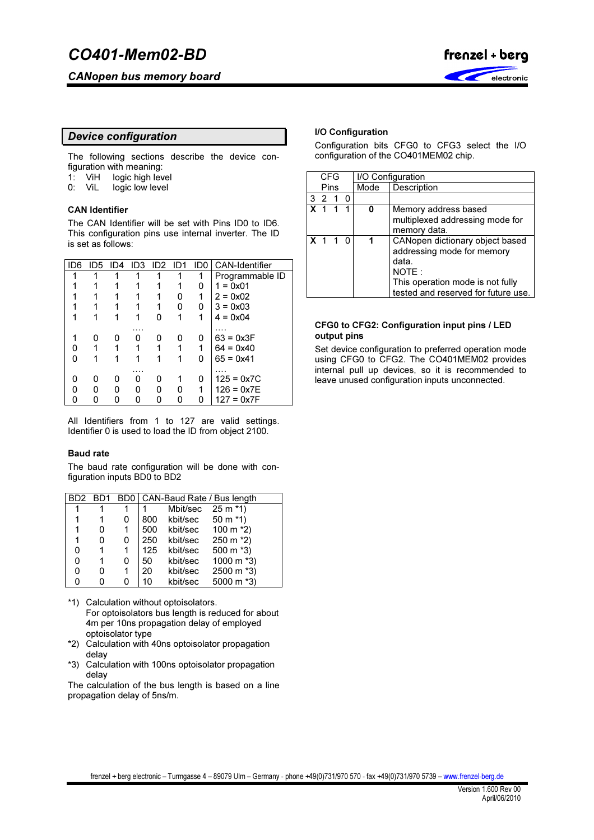CANopen bus memory board



# Device configuration

The following sections describe the device configuration with meaning:<br>1: ViH logic high lev

- logic high level
- 0: ViL logic low level

### CAN Identifier

The CAN Identifier will be set with Pins ID0 to ID6. This configuration pins use internal inverter. The ID is set as follows:

| ID6 | ID5 | ID <sub>4</sub> |   | $ID3$ $ID2$ | -ID1 | ID0 | <b>CAN-Identifier</b> |
|-----|-----|-----------------|---|-------------|------|-----|-----------------------|
|     |     |                 |   |             | 1    | 1   | Programmable ID       |
|     |     |                 |   |             | 1    | O   | $1 = 0x01$            |
|     |     |                 |   |             | 0    | 1   | $2 = 0x02$            |
|     |     |                 |   |             | 0    | 0   | $3 = 0 \times 03$     |
|     |     |                 |   | n           | 1    | 1   | $4 = 0 \times 04$     |
|     |     |                 |   |             |      |     |                       |
|     | 0   |                 | 0 |             | Ω    | O   | $63 = 0x3F$           |
|     |     |                 |   |             | 1    |     | $64 = 0x40$           |
| O   |     |                 |   |             |      | n   | $65 = 0x41$           |
|     |     |                 |   |             |      |     | .                     |
| O   | O   | O               | n | 0           |      | Ω   | $125 = 0x7C$          |
| ი   | O   |                 | ი | n           | 0    | 1   | $126 = 0x7E$          |
|     |     |                 | O |             | O    |     | $127 = 0x7F$          |
|     |     |                 |   |             |      |     |                       |

All Identifiers from 1 to 127 are valid settings. Identifier 0 is used to load the ID from object 2100.

#### Baud rate

The baud rate configuration will be done with configuration inputs BD0 to BD2

|   |   |   |     |                             | BD2 BD1 BD0   CAN-Baud Rate / Bus length |
|---|---|---|-----|-----------------------------|------------------------------------------|
|   |   |   |     | Mbit/sec $25 \text{ m}$ *1) |                                          |
|   | 1 |   |     | 800 kbit/sec 50 m *1)       |                                          |
|   | 0 |   | 500 |                             | kbit/sec $100 \text{ m}$ *2)             |
|   | 0 | O | 250 | kbit/sec                    | $250 \text{ m}$ *2)                      |
| 0 | 1 |   | 125 | kbit/sec                    | 500 m *3)                                |
| 0 | 1 |   | 50  | kbit/sec                    | 1000 m *3)                               |
| ი | ŋ |   | 20  | kbit/sec                    | 2500 m *3)                               |
| n | n |   | 10  | kbit/sec                    | 5000 m *3)                               |

- \*1) Calculation without optoisolators. For optoisolators bus length is reduced for about 4m per 10ns propagation delay of employed optoisolator type
- \*2) Calculation with 40ns optoisolator propagation delay
- \*3) Calculation with 100ns optoisolator propagation delay

The calculation of the bus length is based on a line propagation delay of 5ns/m.

## I/O Configuration

Configuration bits CFG0 to CFG3 select the I/O configuration of the CO401MEM02 chip.

|                | <b>CFG</b>     |   |      | I/O Configuration                   |
|----------------|----------------|---|------|-------------------------------------|
|                | Pins           |   | Mode | Description                         |
| l 3            | $\overline{2}$ | n |      |                                     |
|                |                |   |      | Memory address based                |
|                |                |   |      | multiplexed addressing mode for     |
|                |                |   |      | memory data.                        |
| <b>X</b> 1 1 0 |                |   |      | CANopen dictionary object based     |
|                |                |   |      | addressing mode for memory          |
|                |                |   |      | data.                               |
|                |                |   |      | NOTE:                               |
|                |                |   |      | This operation mode is not fully    |
|                |                |   |      | tested and reserved for future use. |

#### CFG0 to CFG2: Configuration input pins / LED output pins

Set device configuration to preferred operation mode using CFG0 to CFG2. The CO401MEM02 provides internal pull up devices, so it is recommended to leave unused configuration inputs unconnected.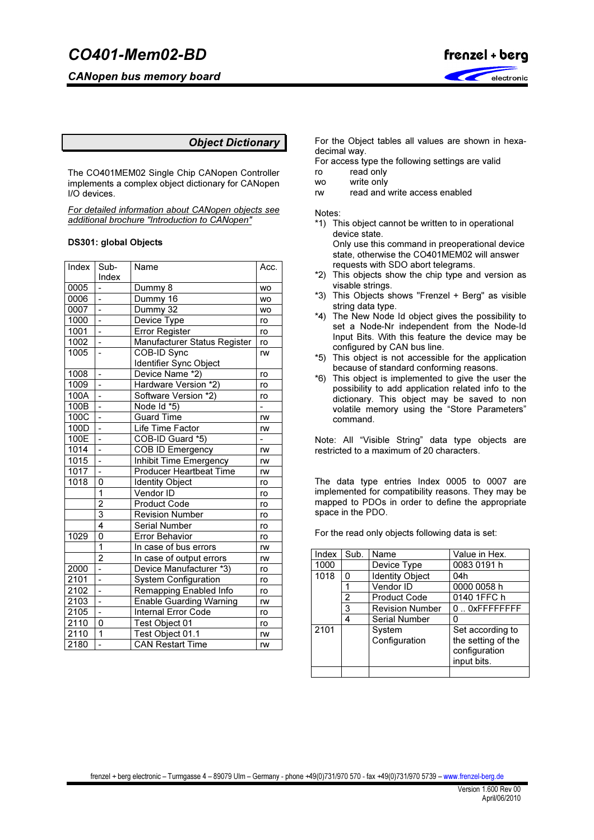CANopen bus memory board



# Object Dictionary

The CO401MEM02 Single Chip CANopen Controller implements a complex object dictionary for CANopen I/O devices.

For detailed information about CANopen objects see additional brochure "Introduction to CANopen"

#### DS301: global Objects

| Index Sub-        |                          | Name                           | Acc.           |
|-------------------|--------------------------|--------------------------------|----------------|
|                   | Index                    |                                |                |
| 0005              |                          | Dummy 8                        | <b>WO</b>      |
| 0006              | $\overline{a}$           | Dummy 16                       | <b>WO</b>      |
| 0007              | $\overline{a}$           | Dummy 32                       | <b>WO</b>      |
| 1000              |                          | Device Type                    | ro             |
| 1001              | -                        | <b>Error Register</b>          | ro             |
| 1002              | ÷                        | Manufacturer Status Register   | ro             |
| 1005              | $\overline{a}$           | COB-ID Sync                    | rw             |
|                   |                          | Identifier Sync Object         |                |
| 1008              | $\overline{\phantom{a}}$ | Device Name *2)                | ro             |
| 1009              | $\overline{\phantom{0}}$ | Hardware Version *2)           | ro             |
| 100A              |                          | Software Version *2)           | ro             |
| 100B              |                          | Node Id *5)                    |                |
| 100C              | $\overline{\phantom{0}}$ | <b>Guard Time</b>              | rw             |
| 100D              | $\overline{a}$           | Life Time Factor               | rw             |
| 100E              | $\overline{a}$           | COB-ID Guard *5)               | $\overline{a}$ |
| 1014              | -                        | COB ID Emergency               | rw             |
| 1015              | $\overline{a}$           | Inhibit Time Emergency         | rw             |
| 1017              | $\overline{a}$           | <b>Producer Heartbeat Time</b> | rw             |
| 1018              | 0                        | <b>Identity Object</b>         | ro             |
|                   | $\overline{1}$           | Vendor ID                      | ro             |
|                   | $\overline{2}$           | <b>Product Code</b>            | ro             |
|                   | $\overline{3}$           | <b>Revision Number</b>         | ro             |
|                   | 4                        | <b>Serial Number</b>           | ro             |
| 1029              | $\overline{0}$           | <b>Error Behavior</b>          | ro             |
|                   | $\overline{1}$           | In case of bus errors          | rw             |
|                   | $\overline{2}$           | In case of output errors       | rw             |
| 2000              | -                        | Device Manufacturer *3)        | ro             |
| 2101              |                          | <b>System Configuration</b>    | ro             |
| 2102              | -                        | Remapping Enabled Info         | ro             |
| 2103              | $\overline{\phantom{a}}$ | <b>Enable Guarding Warning</b> | rw             |
| 2105              | $\overline{a}$           | <b>Internal Error Code</b>     | ro             |
| 2110              | 0                        | Test Object 01                 | ro             |
| $\overline{2110}$ | $\mathbf{1}$             | Test Object 01.1               | rw             |
| 2180              |                          | <b>CAN Restart Time</b>        | rw             |

For the Object tables all values are shown in hexadecimal way.

For access type the following settings are valid ro read only

- wo write only
- rw read and write access enabled

Notes:

- \*1) This object cannot be written to in operational device state. Only use this command in preoperational device state, otherwise the CO401MEM02 will answer
- requests with SDO abort telegrams. \*2) This objects show the chip type and version as visable strings.
- \*3) This Objects shows "Frenzel + Berg" as visible string data type.
- \*4) The New Node Id object gives the possibility to set a Node-Nr independent from the Node-Id Input Bits. With this feature the device may be configured by CAN bus line.
- \*5) This object is not accessible for the application because of standard conforming reasons.
- \*6) This object is implemented to give the user the possibility to add application related info to the dictionary. This object may be saved to non volatile memory using the "Store Parameters" command.

Note: All "Visible String" data type objects are restricted to a maximum of 20 characters.

The data type entries Index 0005 to 0007 are implemented for compatibility reasons. They may be mapped to PDOs in order to define the appropriate space in the PDO.

For the read only objects following data is set:

| Index | Sub. | Name                   | Value in Hex.      |
|-------|------|------------------------|--------------------|
| 1000  |      | Device Type            | 0083 0191 h        |
| 1018  | 0    | <b>Identity Object</b> | 04h                |
|       |      | Vendor ID              | 0000 0058 h        |
|       | 2    | <b>Product Code</b>    | 0140 1FFC h        |
|       | 3    | <b>Revision Number</b> | $0.0x$ FFFFFFFFF   |
|       | 4    | Serial Number          | Ω                  |
| 2101  |      | System                 | Set according to   |
|       |      | Configuration          | the setting of the |
|       |      |                        | configuration      |
|       |      |                        | input bits.        |
|       |      |                        |                    |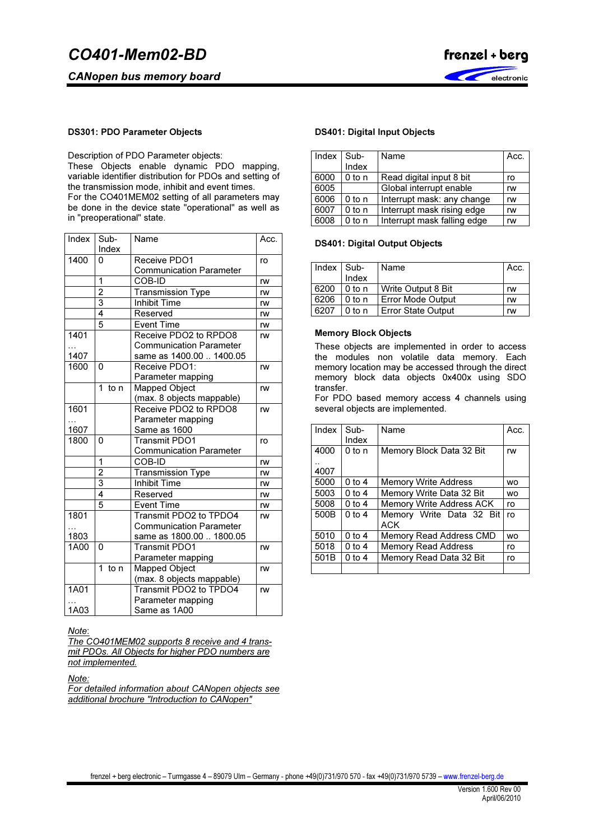CANopen bus memory board



#### DS301: PDO Parameter Objects

Description of PDO Parameter objects: These Objects enable dynamic PDO mapping, variable identifier distribution for PDOs and setting of the transmission mode, inhibit and event times. For the CO401MEM02 setting of all parameters may be done in the device state "operational" as well as in "preoperational" state.

| Index | Sub-           | Name                                          | Acc.      |
|-------|----------------|-----------------------------------------------|-----------|
|       | Index          |                                               |           |
| 1400  | 0              | Receive PDO1                                  | ro        |
|       |                | <b>Communication Parameter</b>                |           |
|       | 1              | COB-ID                                        | rw        |
|       | $\overline{2}$ | Transmission Type                             | rw        |
|       | 3              | Inhibit Time                                  | rw        |
|       | 4              | Reserved                                      | rw        |
|       | $\overline{5}$ | <b>Event Time</b>                             | rw        |
| 1401  |                | Receive PDO <sub>2</sub> to RPDO <sub>8</sub> | rw        |
|       |                | <b>Communication Parameter</b>                |           |
| 1407  |                | same as 1400.00  1400.05                      |           |
| 1600  | 0              | Receive PDO1:                                 | rw        |
|       |                | Parameter mapping                             |           |
|       | 1.<br>to n     | <b>Mapped Object</b>                          | rw        |
|       |                | (max. 8 objects mappable)                     |           |
| 1601  |                | Receive PDO2 to RPDO8                         | rw        |
|       |                | Parameter mapping                             |           |
| 1607  |                | Same as 1600                                  |           |
| 1800  | $\Omega$       | Transmit PDO1                                 | ro        |
|       |                | <b>Communication Parameter</b>                |           |
|       | 1              | COB-ID                                        | rw        |
|       | $\overline{2}$ | <b>Transmission Type</b>                      | rw        |
|       | 3              | <b>Inhibit Time</b>                           | rw        |
|       | 4              | Reserved                                      | <b>rw</b> |
|       | 5              | <b>Event Time</b>                             | <b>rw</b> |
| 1801  |                | Transmit PDO2 to TPDO4                        | rw        |
|       |                | <b>Communication Parameter</b>                |           |
| 1803  |                | same as 1800.00  1800.05                      |           |
| 1A00  | $\mathbf 0$    | <b>Transmit PDO1</b>                          | rw        |
|       |                | Parameter mapping                             |           |
|       | 1<br>to n      | <b>Mapped Object</b>                          | rw        |
|       |                | (max. 8 objects mappable)                     |           |
| 1A01  |                | Transmit PDO2 to TPDO4                        | rw        |
|       |                | Parameter mapping                             |           |
| 1A03  |                | Same as 1A00                                  |           |

#### Note:

The CO401MEM02 supports 8 receive and 4 transmit PDOs. All Objects for higher PDO numbers are not implemented.

Note:

For detailed information about CANopen objects see additional brochure "Introduction to CANopen"

## DS401: Digital Input Objects

| Index | Sub-<br>Index | Name                        | Acc. |
|-------|---------------|-----------------------------|------|
| 6000  | $0$ to n      | Read digital input 8 bit    | ro   |
| 6005  |               | Global interrupt enable     | rw   |
| 6006  | $0$ to n      | Interrupt mask: any change  | rw   |
| 6007  | $0$ to n      | Interrupt mask rising edge  | rw   |
| 6008  | $0$ to n      | Interrupt mask falling edge | rw   |

#### DS401: Digital Output Objects

| $Index$ $Sub-$ | Index  | Name                      | Acc. |
|----------------|--------|---------------------------|------|
| 6200           | 0 to n | Write Output 8 Bit        | rw   |
| 6206           | 0 to n | <b>Error Mode Output</b>  | rw   |
| 6207           | 0 to n | <b>Error State Output</b> | rw   |

#### Memory Block Objects

These objects are implemented in order to access the modules non volatile data memory. Each memory location may be accessed through the direct memory block data objects 0x400x using SDO transfer.

For PDO based memory access 4 channels using several objects are implemented.

| Index        | $Sub -$<br>Index | Name                            | Acc.      |
|--------------|------------------|---------------------------------|-----------|
| 4000<br>4007 | 0 to n           | Memory Block Data 32 Bit        | rw        |
| 5000         | $0$ to 4         | <b>Memory Write Address</b>     | <b>WO</b> |
| 5003         | $0$ to 4         | Memory Write Data 32 Bit        | <b>WO</b> |
| 5008         | $0$ to 4         | <b>Memory Write Address ACK</b> | ro        |
| 500B         | 0 to 4           | Memory Write Data 32 Bit<br>ACK | ro        |
| 5010         | $0$ to 4         | Memory Read Address CMD         | <b>WO</b> |
| 5018         | $0$ to 4         | <b>Memory Read Address</b>      | ro        |
| 501B         | $0$ to 4         | Memory Read Data 32 Bit         | ro        |
|              |                  |                                 |           |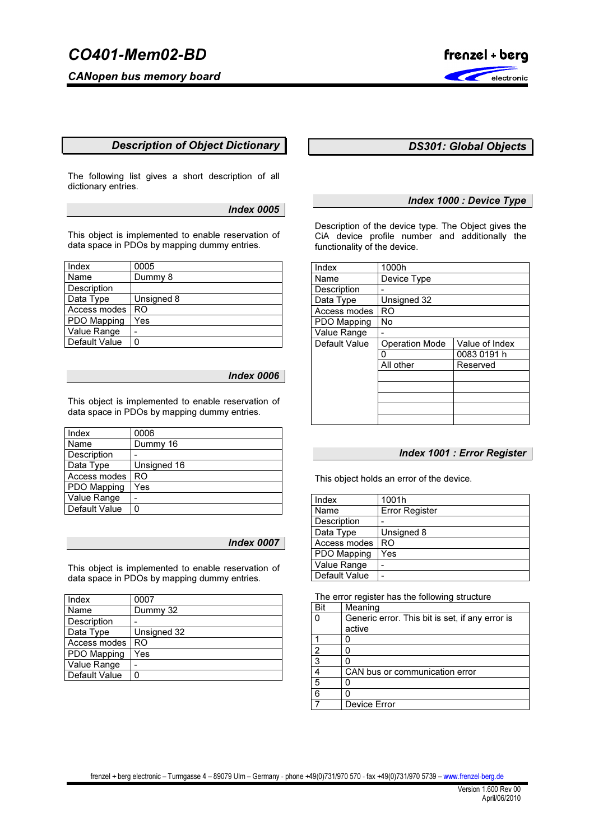CANopen bus memory board



# Description of Object Dictionary

The following list gives a short description of all dictionary entries.

Index 0005

This object is implemented to enable reservation of data space in PDOs by mapping dummy entries.

| Index              | 0005       |
|--------------------|------------|
| Name               | Dummy 8    |
| <b>Description</b> |            |
| Data Type          | Unsigned 8 |
| Access modes       | RO         |
| PDO Mapping        | Yes        |
| Value Range        |            |
| Default Value      | 0          |

# Index 0006

This object is implemented to enable reservation of data space in PDOs by mapping dummy entries.

| Index         | 0006        |
|---------------|-------------|
| Name          | Dummy 16    |
| Description   |             |
| Data Type     | Unsigned 16 |
| Access modes  | RO          |
| PDO Mapping   | Yes         |
| Value Range   |             |
| Default Value | Ω           |

## Index 0007

This object is implemented to enable reservation of data space in PDOs by mapping dummy entries.

| Index              | 0007        |
|--------------------|-------------|
| Name               | Dummy 32    |
| <b>Description</b> |             |
| Data Type          | Unsigned 32 |
| Access modes       | RO.         |
| PDO Mapping        | Yes         |
| Value Range        |             |
| Default Value      | Ω           |

# DS301: Global Objects

## Index 1000 : Device Type

Description of the device type. The Object gives the CiA device profile number and additionally the functionality of the device.

| Index         | 1000h                 |                |
|---------------|-----------------------|----------------|
| Name          | Device Type           |                |
| Description   |                       |                |
| Data Type     | Unsigned 32           |                |
| Access modes  | RO                    |                |
| PDO Mapping   | No                    |                |
| Value Range   |                       |                |
| Default Value | <b>Operation Mode</b> | Value of Index |
|               | Ω                     | 0083 0191 h    |
|               | All other             | Reserved       |
|               |                       |                |
|               |                       |                |
|               |                       |                |
|               |                       |                |
|               |                       |                |

## Index 1001 : Error Register

This object holds an error of the device.

| Index         | 1001h                 |
|---------------|-----------------------|
| Name          | <b>Error Register</b> |
| Description   |                       |
| Data Type     | Unsigned 8            |
| Access modes  | RO                    |
| PDO Mapping   | Yes                   |
| Value Range   |                       |
| Default Value |                       |

The error register has the following structure

| Bit                     | Meaning                                         |
|-------------------------|-------------------------------------------------|
| $\Omega$                | Generic error. This bit is set, if any error is |
|                         | active                                          |
|                         |                                                 |
| $\overline{2}$          |                                                 |
| $\overline{\mathbf{3}}$ |                                                 |
| 4                       | CAN bus or communication error                  |
| 5                       |                                                 |
| 6                       |                                                 |
|                         | Device Error                                    |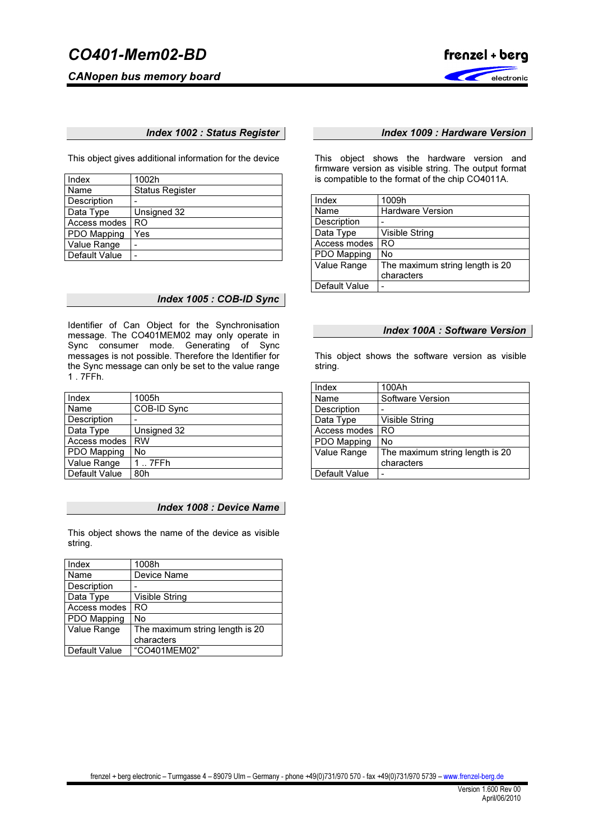CANopen bus memory board



# Index 1002 : Status Register

This object gives additional information for the device

| Index         | 1002h                  |
|---------------|------------------------|
| Name          | <b>Status Register</b> |
| Description   |                        |
| Data Type     | Unsigned 32            |
| Access modes  | RO                     |
| PDO Mapping   | Yes                    |
| Value Range   |                        |
| Default Value | -                      |

# Index 1005 : COB-ID Sync

Identifier of Can Object for the Synchronisation message. The CO401MEM02 may only operate in Sync consumer mode. Generating of Sync messages is not possible. Therefore the Identifier for the Sync message can only be set to the value range 1 . 7FFh.

| Index         | 1005h       |
|---------------|-------------|
| Name          | COB-ID Sync |
| Description   |             |
| Data Type     | Unsigned 32 |
| Access modes  | <b>RW</b>   |
| PDO Mapping   | No          |
| Value Range   | 7FFh        |
| Default Value | 80h         |

### Index 1008 : Device Name

This object shows the name of the device as visible string.

| Index         | 1008h                           |
|---------------|---------------------------------|
| Name          | Device Name                     |
| Description   |                                 |
| Data Type     | <b>Visible String</b>           |
| Access modes  | RO.                             |
| PDO Mapping   | No                              |
| Value Range   | The maximum string length is 20 |
|               | characters                      |
| Default Value | "CO401MEM02"                    |

# Index 1009 : Hardware Version

This object shows the hardware version and firmware version as visible string. The output format is compatible to the format of the chip CO4011A.

| Index         | 1009h                                         |
|---------------|-----------------------------------------------|
| Name          | <b>Hardware Version</b>                       |
| Description   |                                               |
| Data Type     | Visible String                                |
| Access modes  | RO                                            |
| PDO Mapping   | No                                            |
| Value Range   | The maximum string length is 20<br>characters |
| Default Value |                                               |

#### Index 100A : Software Version

This object shows the software version as visible string.

| Index         | 100Ah                           |
|---------------|---------------------------------|
| Name          | Software Version                |
| Description   |                                 |
| Data Type     | <b>Visible String</b>           |
| Access modes  | R <sub>O</sub>                  |
| PDO Mapping   | No                              |
| Value Range   | The maximum string length is 20 |
|               | characters                      |
| Default Value |                                 |
|               |                                 |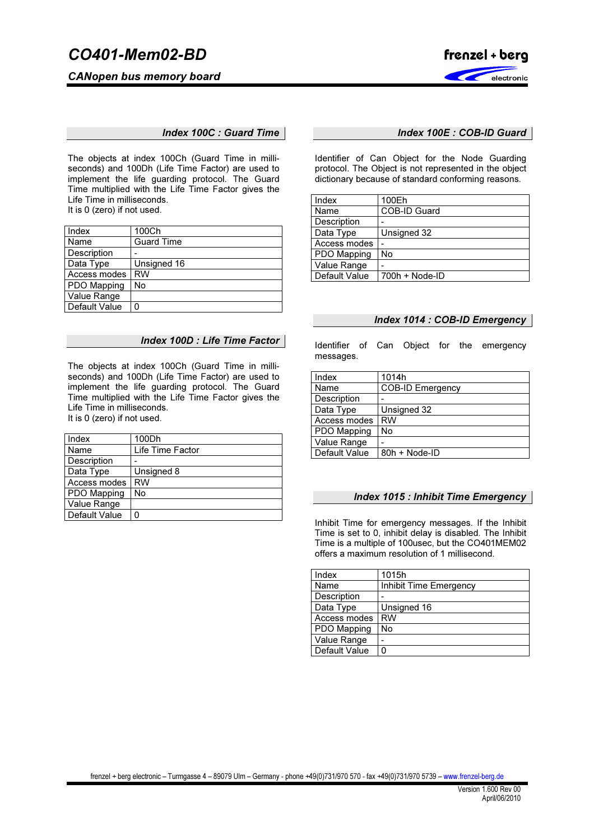CANopen bus memory board



Index 100C : Guard Time

The objects at index 100Ch (Guard Time in milliseconds) and 100Dh (Life Time Factor) are used to implement the life guarding protocol. The Guard Time multiplied with the Life Time Factor gives the Life Time in milliseconds. It is 0 (zero) if not used.

| Index         | 100Ch             |
|---------------|-------------------|
| Name          | <b>Guard Time</b> |
| Description   |                   |
| Data Type     | Unsigned 16       |
| Access modes  | <b>RW</b>         |
| PDO Mapping   | No                |
| Value Range   |                   |
| Default Value | 0                 |

### Index 100D : Life Time Factor

The objects at index 100Ch (Guard Time in milliseconds) and 100Dh (Life Time Factor) are used to implement the life guarding protocol. The Guard Time multiplied with the Life Time Factor gives the Life Time in milliseconds. It is 0 (zero) if not used.

| Index         | 100Dh            |
|---------------|------------------|
| Name          | Life Time Factor |
| Description   |                  |
| Data Type     | Unsigned 8       |
| Access modes  | <b>RW</b>        |
| PDO Mapping   | No               |
| Value Range   |                  |
| Default Value | O                |

## Index 100E : COB-ID Guard

Identifier of Can Object for the Node Guarding protocol. The Object is not represented in the object dictionary because of standard conforming reasons.

| Index         | 100Eh            |
|---------------|------------------|
| Name          | COB-ID Guard     |
| Description   |                  |
| Data Type     | Unsigned 32      |
| Access modes  |                  |
| PDO Mapping   | No               |
| Value Range   |                  |
| Default Value | $700h + Node-ID$ |

# Index 1014 : COB-ID Emergency

Identifier of Can Object for the emergency messages.

| Index         | 1014h                   |
|---------------|-------------------------|
| Name          | <b>COB-ID Emergency</b> |
| Description   |                         |
| Data Type     | Unsigned 32             |
| Access modes  | <b>RW</b>               |
| PDO Mapping   | No                      |
| Value Range   |                         |
| Default Value | 80h + Node-ID           |

## Index 1015 : Inhibit Time Emergency

Inhibit Time for emergency messages. If the Inhibit Time is set to 0, inhibit delay is disabled. The Inhibit Time is a multiple of 100usec, but the CO401MEM02 offers a maximum resolution of 1 millisecond.

| Index         | 1015h                  |
|---------------|------------------------|
| Name          | Inhibit Time Emergency |
| Description   |                        |
| Data Type     | Unsigned 16            |
| Access modes  | <b>RW</b>              |
| PDO Mapping   | No                     |
| Value Range   |                        |
| Default Value | 0                      |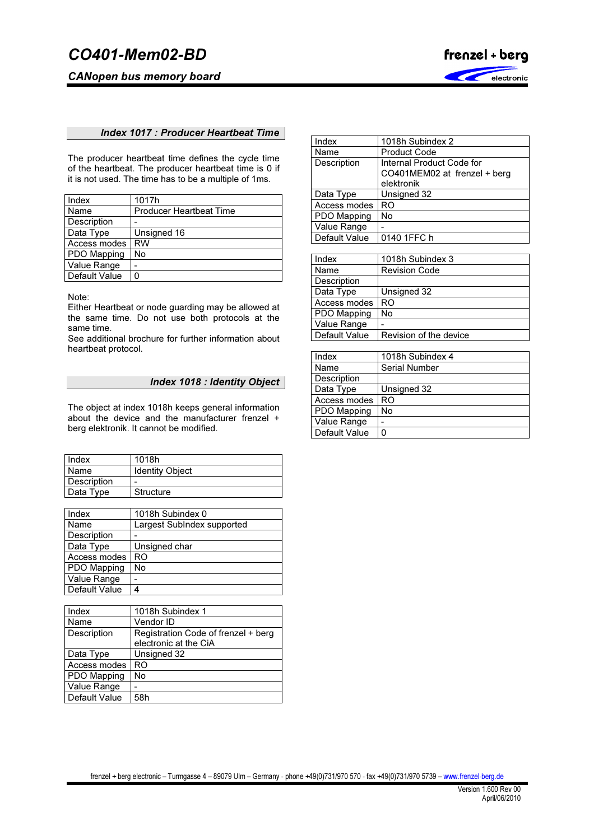CANopen bus memory board



## Index 1017 : Producer Heartbeat Time

The producer heartbeat time defines the cycle time of the heartbeat. The producer heartbeat time is 0 if it is not used. The time has to be a multiple of 1ms.

| Index           | 1017h                          |
|-----------------|--------------------------------|
| Name            | <b>Producer Heartbeat Time</b> |
| Description     |                                |
| Data Type       | Unsigned 16                    |
| Access modes    | <b>RW</b>                      |
| PDO Mapping     | No                             |
| Value Range     |                                |
| l Default Value | 0                              |

Note:

Either Heartbeat or node guarding may be allowed at the same time. Do not use both protocols at the same time.

See additional brochure for further information about heartbeat protocol.

# Index 1018 : Identity Object

The object at index 1018h keeps general information about the device and the manufacturer frenzel + berg elektronik. It cannot be modified.

| Index       | 1018h                  |
|-------------|------------------------|
| Name        | <b>Identity Object</b> |
| Description | -                      |
| Data Type   | Structure              |

| Index         | 1018h Subindex 0           |
|---------------|----------------------------|
| Name          | Largest SubIndex supported |
| Description   |                            |
| Data Type     | Unsigned char              |
| Access modes  | RO                         |
| PDO Mapping   | No                         |
| Value Range   |                            |
| Default Value |                            |

| Index         | 1018h Subindex 1                    |
|---------------|-------------------------------------|
| Name          | Vendor ID                           |
| Description   | Registration Code of frenzel + berg |
|               | electronic at the CiA               |
| Data Type     | Unsigned 32                         |
| Access modes  | RO                                  |
| PDO Mapping   | No                                  |
| Value Range   |                                     |
| Default Value | 58h                                 |

| Index         | 1018h Subindex 2             |
|---------------|------------------------------|
| Name          | <b>Product Code</b>          |
| Description   | Internal Product Code for    |
|               | CO401MEM02 at frenzel + berg |
|               | elektronik                   |
| Data Type     | Unsigned 32                  |
| Access modes  | RO                           |
| PDO Mapping   | No                           |
| Value Range   |                              |
| Default Value | 0140 1FFC h                  |

| Index         | 1018h Subindex 3       |
|---------------|------------------------|
| Name          | <b>Revision Code</b>   |
| Description   |                        |
| Data Type     | Unsigned 32            |
| Access modes  | RO                     |
| PDO Mapping   | No                     |
| Value Range   |                        |
| Default Value | Revision of the device |

| Index         | 1018h Subindex 4     |
|---------------|----------------------|
| Name          | <b>Serial Number</b> |
| Description   |                      |
| Data Type     | Unsigned 32          |
| Access modes  | RO                   |
| PDO Mapping   | No                   |
| Value Range   |                      |
| Default Value | 0                    |
|               |                      |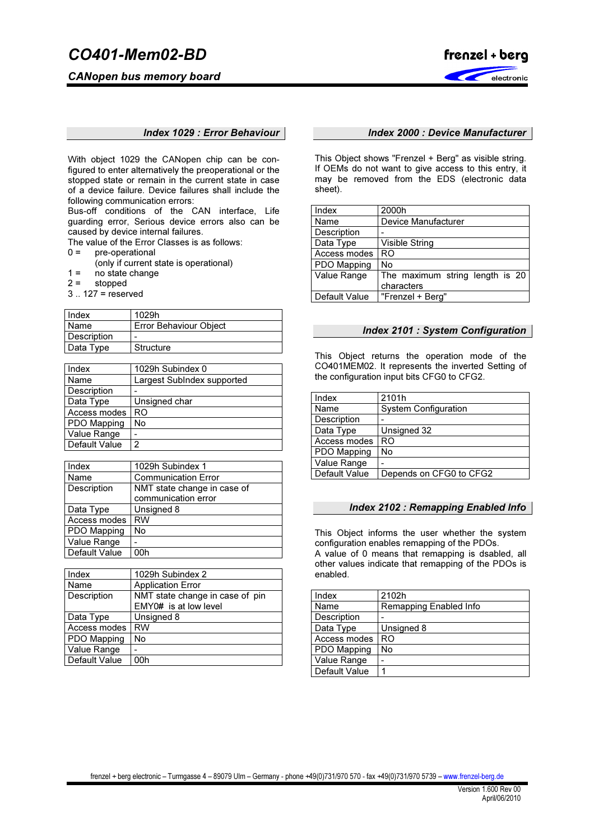CANopen bus memory board



#### Index 1029 : Error Behaviour

With object 1029 the CANopen chip can be configured to enter alternatively the preoperational or the stopped state or remain in the current state in case of a device failure. Device failures shall include the following communication errors:

Bus-off conditions of the CAN interface, Life guarding error, Serious device errors also can be caused by device internal failures.

The value of the Error Classes is as follows:

- 0 = pre-operational
	- (only if current state is operational)
- $1 =$  no state change<br> $2 =$  stopped
- stopped
- 3 .. 127 = reserved

| Index       | 1029h                  |
|-------------|------------------------|
| Name        | Error Behaviour Object |
| Description | -                      |
| Data Type   | Structure              |

| Index         | 1029h Subindex 0           |
|---------------|----------------------------|
| Name          | Largest SubIndex supported |
| Description   |                            |
| Data Type     | Unsigned char              |
| Access modes  | RO                         |
| PDO Mapping   | No                         |
| Value Range   |                            |
| Default Value | 2                          |

| Index         | 1029h Subindex 1            |
|---------------|-----------------------------|
| Name          | <b>Communication Error</b>  |
| Description   | NMT state change in case of |
|               | communication error         |
| Data Type     | Unsigned 8                  |
| Access modes  | <b>RW</b>                   |
| PDO Mapping   | No                          |
| Value Range   |                             |
| Default Value | ነበከ                         |

| Index         | 1029h Subindex 2                |
|---------------|---------------------------------|
| Name          | <b>Application Error</b>        |
| Description   | NMT state change in case of pin |
|               | EMY0# is at low level           |
| Data Type     | Unsigned 8                      |
| Access modes  | <b>RW</b>                       |
| PDO Mapping   | No                              |
| Value Range   |                                 |
| Default Value | 00h                             |

## Index 2000 : Device Manufacturer

This Object shows "Frenzel + Berg" as visible string. If OEMs do not want to give access to this entry, it may be removed from the EDS (electronic data sheet).

| Index         | 2000h                           |
|---------------|---------------------------------|
| Name          | Device Manufacturer             |
| Description   |                                 |
| Data Type     | Visible String                  |
| Access modes  | <b>RO</b>                       |
| PDO Mapping   | No                              |
| Value Range   | The maximum string length is 20 |
|               | characters                      |
| Default Value | "Frenzel + Berg"                |

#### Index 2101 : System Configuration

This Object returns the operation mode of the CO401MEM02. It represents the inverted Setting of the configuration input bits CFG0 to CFG2.

| 2101h                       |
|-----------------------------|
| <b>System Configuration</b> |
|                             |
| Unsigned 32                 |
| R <sub>O</sub>              |
| No                          |
|                             |
| Depends on CFG0 to CFG2     |
|                             |

## Index 2102 : Remapping Enabled Info

This Object informs the user whether the system configuration enables remapping of the PDOs. A value of 0 means that remapping is dsabled, all other values indicate that remapping of the PDOs is enabled.

| Index              | 2102h                  |
|--------------------|------------------------|
| Name               | Remapping Enabled Info |
| <b>Description</b> |                        |
| Data Type          | Unsigned 8             |
| Access modes       | RO                     |
| PDO Mapping        | No                     |
| Value Range        |                        |
| Default Value      |                        |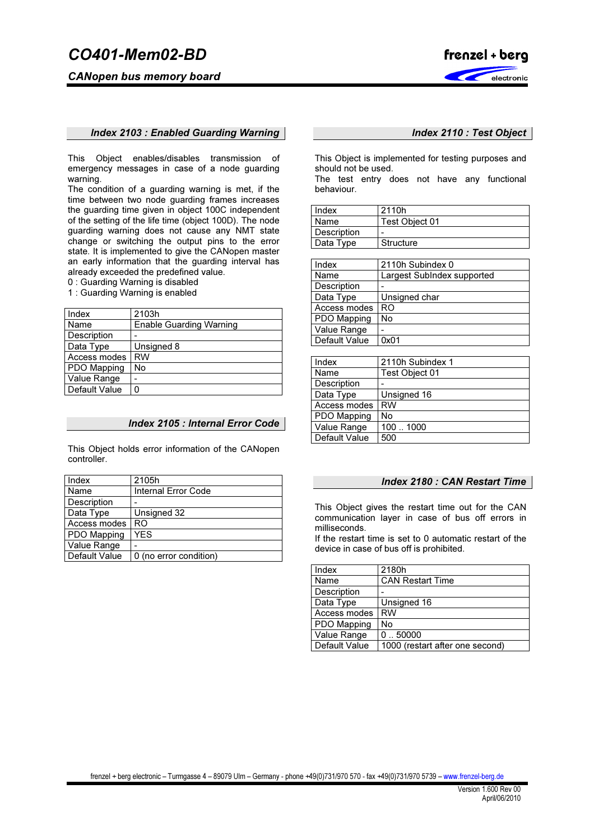CANopen bus memory board



#### Index 2103 : Enabled Guarding Warning

This Object enables/disables transmission of emergency messages in case of a node guarding warning.

The condition of a guarding warning is met, if the time between two node guarding frames increases the guarding time given in object 100C independent of the setting of the life time (object 100D). The node guarding warning does not cause any NMT state change or switching the output pins to the error state. It is implemented to give the CANopen master an early information that the guarding interval has already exceeded the predefined value.

0 : Guarding Warning is disabled

1 : Guarding Warning is enabled

| Index         | 2103h                   |
|---------------|-------------------------|
| Name          | Enable Guarding Warning |
| Description   |                         |
| Data Type     | Unsigned 8              |
| Access modes  | <b>RW</b>               |
| PDO Mapping   | No                      |
| Value Range   |                         |
| Default Value | 0                       |

# Index 2105 : Internal Error Code

This Object holds error information of the CANopen controller.

# Index 2110 : Test Object

This Object is implemented for testing purposes and should not be used.

The test entry does not have any functional behaviour.

| Index       | 2110h          |
|-------------|----------------|
| Name        | Test Object 01 |
| Description | -              |
| Data Type   | Structure      |

| Index         | 2110h Subindex 0           |
|---------------|----------------------------|
| Name          | Largest SubIndex supported |
| Description   |                            |
| Data Type     | Unsigned char              |
| Access modes  | RO                         |
| PDO Mapping   | No                         |
| Value Range   |                            |
| Default Value | 0x01                       |

| Index         | 2110h Subindex 1 |  |  |
|---------------|------------------|--|--|
| Name          | Test Object 01   |  |  |
| Description   |                  |  |  |
| Data Type     | Unsigned 16      |  |  |
| Access modes  | <b>RW</b>        |  |  |
| PDO Mapping   | No               |  |  |
| Value Range   | 1001000          |  |  |
| Default Value | 500              |  |  |
|               |                  |  |  |

#### Index 2180 : CAN Restart Time

This Object gives the restart time out for the CAN communication layer in case of bus off errors in milliseconds.

If the restart time is set to 0 automatic restart of the device in case of bus off is prohibited.

| Index              | 2180h                           |  |  |
|--------------------|---------------------------------|--|--|
| Name               | <b>CAN Restart Time</b>         |  |  |
| Description        |                                 |  |  |
| Data Type          | Unsigned 16                     |  |  |
| Access modes       | <b>RW</b>                       |  |  |
| <b>PDO Mapping</b> | No                              |  |  |
| Value Range        | 0.50000                         |  |  |
| Default Value      | 1000 (restart after one second) |  |  |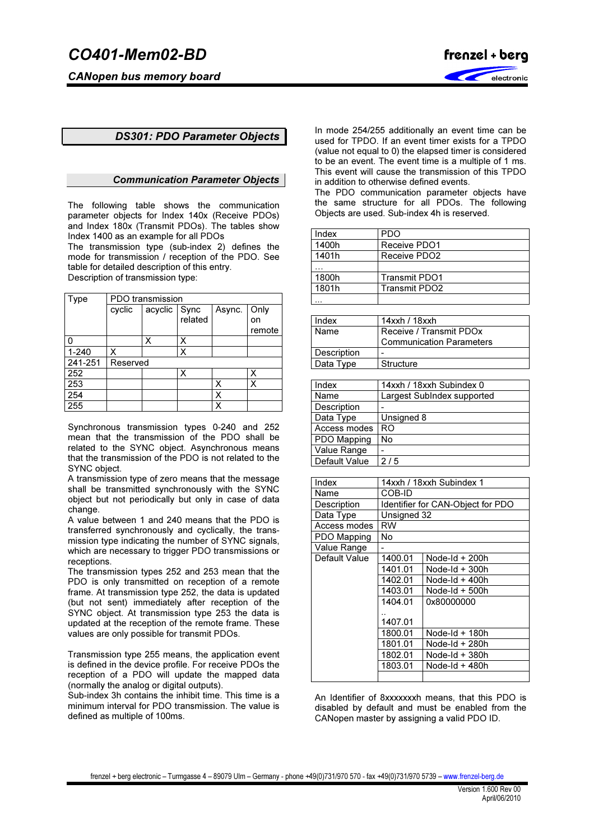

# DS301: PDO Parameter Objects

### Communication Parameter Objects

The following table shows the communication parameter objects for Index 140x (Receive PDOs) and Index 180x (Transmit PDOs). The tables show Index 1400 as an example for all PDOs

The transmission type (sub-index 2) defines the mode for transmission / reception of the PDO. See table for detailed description of this entry. Description of transmission type:

| Type      | PDO transmission |              |         |        |        |
|-----------|------------------|--------------|---------|--------|--------|
|           | cyclic           | acyclic Sync |         | Async. | Only   |
|           |                  |              | related |        | on     |
|           |                  |              |         |        | remote |
| 0         |                  | Χ            | Х       |        |        |
| $1 - 240$ | х                |              | Χ       |        |        |
| 241-251   | Reserved         |              |         |        |        |
| 252       |                  |              | Х       |        | Χ      |
| 253       |                  |              |         | х      | Χ      |
| 254       |                  |              |         | х      |        |
| 255       |                  |              |         | x      |        |

Synchronous transmission types 0-240 and 252 mean that the transmission of the PDO shall be related to the SYNC object. Asynchronous means that the transmission of the PDO is not related to the SYNC object.

A transmission type of zero means that the message shall be transmitted synchronously with the SYNC object but not periodically but only in case of data change.

A value between 1 and 240 means that the PDO is transferred synchronously and cyclically, the transmission type indicating the number of SYNC signals, which are necessary to trigger PDO transmissions or receptions.

The transmission types 252 and 253 mean that the PDO is only transmitted on reception of a remote frame. At transmission type 252, the data is updated (but not sent) immediately after reception of the SYNC object. At transmission type 253 the data is updated at the reception of the remote frame. These values are only possible for transmit PDOs.

Transmission type 255 means, the application event is defined in the device profile. For receive PDOs the reception of a PDO will update the mapped data (normally the analog or digital outputs).

Sub-index 3h contains the inhibit time. This time is a minimum interval for PDO transmission. The value is defined as multiple of 100ms.

In mode 254/255 additionally an event time can be used for TPDO. If an event timer exists for a TPDO (value not equal to 0) the elapsed timer is considered to be an event. The event time is a multiple of 1 ms. This event will cause the transmission of this TPDO in addition to otherwise defined events.

The PDO communication parameter objects have the same structure for all PDOs. The following Objects are used. Sub-index 4h is reserved.

| Index | PDO                  |
|-------|----------------------|
| 1400h | Receive PDO1         |
| 1401h | Receive PDO2         |
|       |                      |
| 1800h | <b>Transmit PDO1</b> |
| 1801h | Transmit PDO2        |
|       |                      |

| Index              | 14xxh / 18xxh                   |  |
|--------------------|---------------------------------|--|
| Name               | Receive / Transmit PDOx         |  |
|                    | <b>Communication Parameters</b> |  |
| <b>Description</b> |                                 |  |
| Data Type          | Structure                       |  |

| Index         | 14xxh / 18xxh Subindex 0   |  |  |
|---------------|----------------------------|--|--|
| Name          | Largest SubIndex supported |  |  |
| Description   |                            |  |  |
| Data Type     | Unsigned 8                 |  |  |
| Access modes  | RO                         |  |  |
| PDO Mapping   | No                         |  |  |
| Value Range   |                            |  |  |
| Default Value | 2/5                        |  |  |

| Index         | 14xxh / 18xxh Subindex 1    |                                   |  |  |
|---------------|-----------------------------|-----------------------------------|--|--|
| Name          | COB-ID                      |                                   |  |  |
| Description   |                             | Identifier for CAN-Object for PDO |  |  |
| Data Type     | Unsigned 32                 |                                   |  |  |
| Access modes  | RW                          |                                   |  |  |
| PDO Mapping   | No                          |                                   |  |  |
| Value Range   |                             |                                   |  |  |
| Default Value | 1400.01                     | Node-Id + 200h                    |  |  |
|               | 1401.01                     | Node-Id $+300h$                   |  |  |
|               | 1402.01<br>Node-Id $+$ 400h |                                   |  |  |
|               | 1403.01<br>Node-Id $+500h$  |                                   |  |  |
|               | 1404.01<br>0x80000000       |                                   |  |  |
|               |                             |                                   |  |  |
|               | 1407.01                     |                                   |  |  |
|               | 1800.01                     | Node-Id + 180h                    |  |  |
|               | 1801.01                     | Node-Id + 280h                    |  |  |
|               | 1802.01<br>Node-Id + 380h   |                                   |  |  |
|               | 1803.01<br>Node-Id + 480h   |                                   |  |  |
|               |                             |                                   |  |  |

An Identifier of 8xxxxxxxh means, that this PDO is disabled by default and must be enabled from the CANopen master by assigning a valid PDO ID.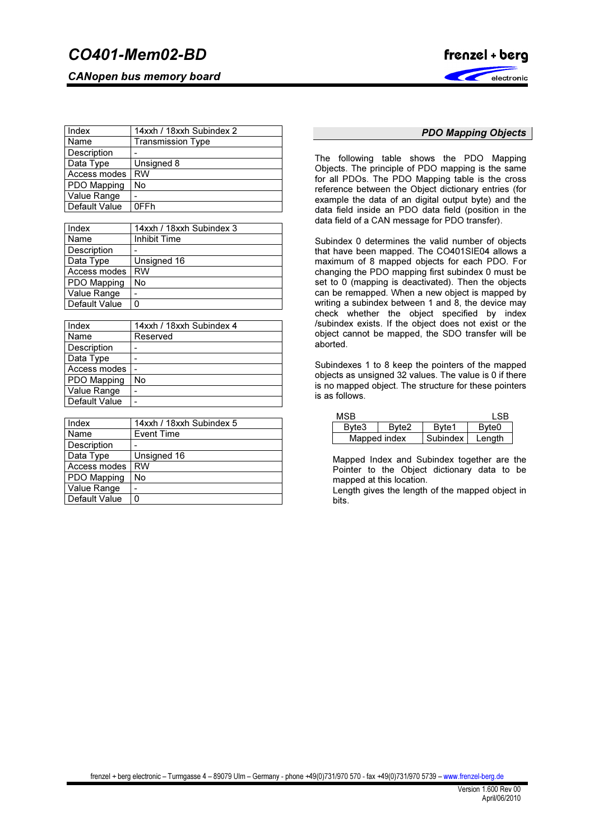CANopen bus memory board



| Index         | 14xxh / 18xxh Subindex 2 |  |  |
|---------------|--------------------------|--|--|
| Name          | <b>Transmission Type</b> |  |  |
| Description   |                          |  |  |
| Data Type     | Unsigned 8               |  |  |
| Access modes  | <b>RW</b>                |  |  |
| PDO Mapping   | No                       |  |  |
| Value Range   |                          |  |  |
| Default Value | 0FFh                     |  |  |

| Index         | 14xxh / 18xxh Subindex 3 |
|---------------|--------------------------|
| Name          | Inhibit Time             |
| Description   |                          |
| Data Type     | Unsigned 16              |
| Access modes  | <b>RW</b>                |
| PDO Mapping   | No                       |
| Value Range   |                          |
| Default Value |                          |

| Index         | 14xxh / 18xxh Subindex 4 |
|---------------|--------------------------|
| Name          | Reserved                 |
| Description   |                          |
| Data Type     |                          |
| Access modes  |                          |
| PDO Mapping   | No                       |
| Value Range   |                          |
| Default Value |                          |

| Index         | 14xxh / 18xxh Subindex 5 |
|---------------|--------------------------|
| Name          | <b>Event Time</b>        |
| Description   |                          |
| Data Type     | Unsigned 16              |
| Access modes  | <b>RW</b>                |
| PDO Mapping   | No                       |
| Value Range   |                          |
| Default Value |                          |

# PDO Mapping Objects

The following table shows the PDO Mapping Objects. The principle of PDO mapping is the same for all PDOs. The PDO Mapping table is the cross reference between the Object dictionary entries (for example the data of an digital output byte) and the data field inside an PDO data field (position in the data field of a CAN message for PDO transfer).

Subindex 0 determines the valid number of objects that have been mapped. The CO401SIE04 allows a maximum of 8 mapped objects for each PDO. For changing the PDO mapping first subindex 0 must be set to 0 (mapping is deactivated). Then the objects can be remapped. When a new object is mapped by writing a subindex between 1 and 8, the device may check whether the object specified by index /subindex exists. If the object does not exist or the object cannot be mapped, the SDO transfer will be aborted.

Subindexes 1 to 8 keep the pointers of the mapped objects as unsigned 32 values. The value is 0 if there is no mapped object. The structure for these pointers is as follows.

| MSB          |                   |          | I SB              |
|--------------|-------------------|----------|-------------------|
| Byte3        | Byte <sub>2</sub> | Byte1    | Byte <sub>0</sub> |
| Mapped index |                   | Subindex | Length            |

Mapped Index and Subindex together are the Pointer to the Object dictionary data to be mapped at this location.

Length gives the length of the mapped object in bits.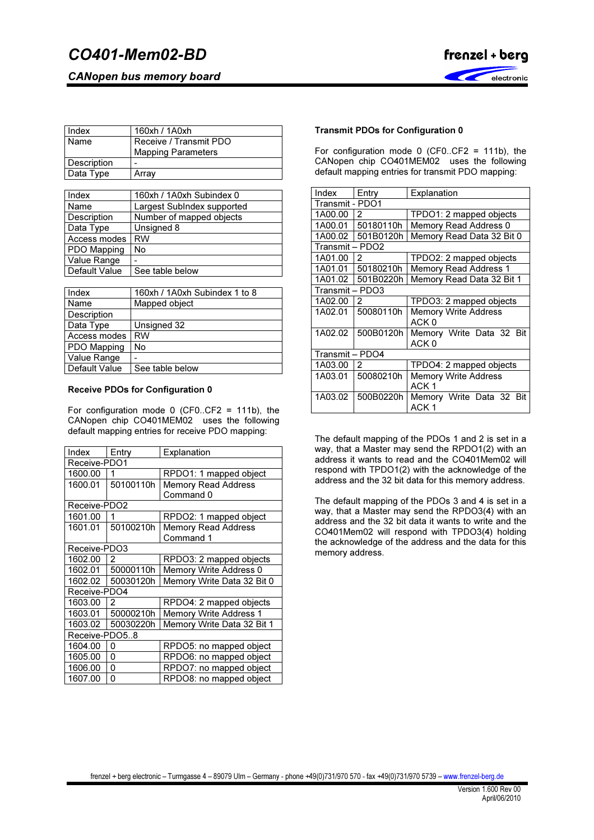CANopen bus memory board



| Index       | 160xh / 1A0xh             |
|-------------|---------------------------|
| Name        | Receive / Transmit PDO    |
|             | <b>Mapping Parameters</b> |
| Description |                           |
| Data Type   | Arrav                     |

| Index         | 160xh / 1A0xh Subindex 0   |
|---------------|----------------------------|
| Name          | Largest SubIndex supported |
| Description   | Number of mapped objects   |
| Data Type     | Unsigned 8                 |
| Access modes  | <b>RW</b>                  |
| PDO Mapping   | No                         |
| Value Range   |                            |
| Default Value | See table below            |

| Index         | 160xh / 1A0xh Subindex 1 to 8 |
|---------------|-------------------------------|
| Name          | Mapped object                 |
| Description   |                               |
| Data Type     | Unsigned 32                   |
| Access modes  | <b>RW</b>                     |
| PDO Mapping   | No                            |
| Value Range   | -                             |
| Default Value | See table below               |

## Receive PDOs for Configuration 0

For configuration mode 0 (CF0..CF2 = 111b), the CANopen chip CO401MEM02 uses the following default mapping entries for receive PDO mapping:

| Index         | Entry          | Explanation                   |
|---------------|----------------|-------------------------------|
| Receive-PDO1  |                |                               |
| 1600.00       | 1              | RPDO1: 1 mapped object        |
| 1600.01       | 50100110h      | <b>Memory Read Address</b>    |
|               |                | Command 0                     |
| Receive-PDO2  |                |                               |
| 1601.00       | 1              | RPDO2: 1 mapped object        |
| 1601.01       | 50100210h      | <b>Memory Read Address</b>    |
|               |                | Command 1                     |
| Receive-PDO3  |                |                               |
| 1602.00       | $\overline{2}$ | RPDO3: 2 mapped objects       |
| 1602.01       | 50000110h      | Memory Write Address 0        |
| 1602.02       | 50030120h      | Memory Write Data 32 Bit 0    |
| Receive-PDO4  |                |                               |
| 1603.00       | 2              | RPDO4: 2 mapped objects       |
| 1603.01       | 50000210h      | <b>Memory Write Address 1</b> |
| 1603.02       | 50030220h      | Memory Write Data 32 Bit 1    |
| Receive-PDO58 |                |                               |
| 1604.00       | 0              | RPDO5: no mapped object       |
| 1605.00       | 0              | RPDO6: no mapped object       |
| 1606.00       | 0              | RPDO7: no mapped object       |
| 1607.00       | 0              | RPDO8: no mapped object       |

# Transmit PDOs for Configuration 0

For configuration mode 0 (CF0..CF2 = 111b), the CANopen chip CO401MEM02 uses the following default mapping entries for transmit PDO mapping:

| Index           | Entry     | Explanation                                     |
|-----------------|-----------|-------------------------------------------------|
| Transmit - PDO1 |           |                                                 |
| 1A00.00         | 2         | TPDO1: 2 mapped objects                         |
| 1A00.01         | 50180110h | Memory Read Address 0                           |
| 1A00.02         | 501B0120h | Memory Read Data 32 Bit 0                       |
| Transmit – PDO2 |           |                                                 |
| 1A01.00         | 2         | TPDO2: 2 mapped objects                         |
| 1A01.01         | 50180210h | <b>Memory Read Address 1</b>                    |
| 1A01.02         | 501B0220h | Memory Read Data 32 Bit 1                       |
| Transmit – PDO3 |           |                                                 |
| 1A02.00         | 2         | TPDO3: 2 mapped objects                         |
| 1A02.01         | 50080110h | <b>Memory Write Address</b><br>ACK 0            |
| 1A02.02         | 500B0120h | Memory Write Data 32 Bit<br>ACK <sub>0</sub>    |
| Transmit - PDO4 |           |                                                 |
| 1A03.00         | 2         | TPDO4: 2 mapped objects                         |
| 1A03.01         | 50080210h | <b>Memory Write Address</b><br>ACK <sub>1</sub> |
| 1A03.02         | 500B0220h | Memory Write Data 32 Bit<br>ACK 1               |

The default mapping of the PDOs 1 and 2 is set in a way, that a Master may send the RPDO1(2) with an address it wants to read and the CO401Mem02 will respond with TPDO1(2) with the acknowledge of the address and the 32 bit data for this memory address.

The default mapping of the PDOs 3 and 4 is set in a way, that a Master may send the RPDO3(4) with an address and the 32 bit data it wants to write and the CO401Mem02 will respond with TPDO3(4) holding the acknowledge of the address and the data for this memory address.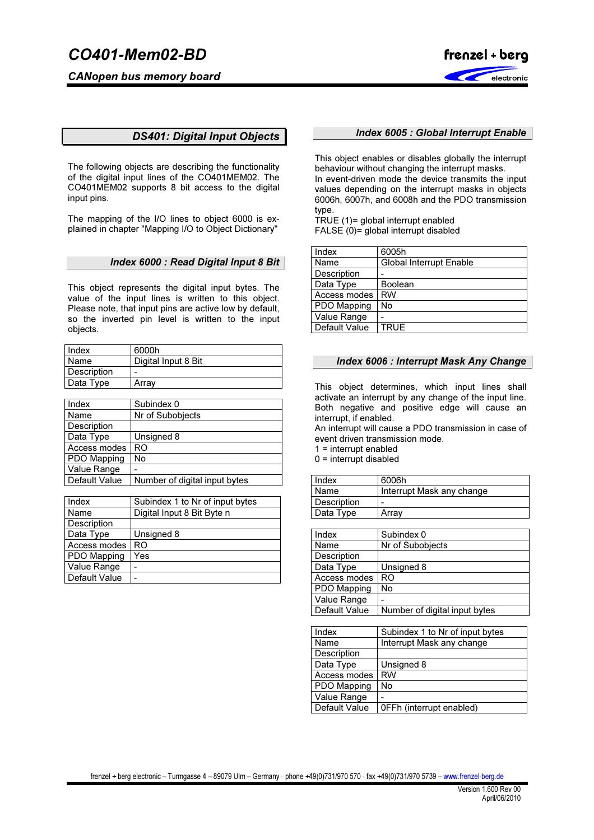CANopen bus memory board



# DS401: Digital Input Objects

The following objects are describing the functionality of the digital input lines of the CO401MEM02. The CO401MEM02 supports 8 bit access to the digital input pins.

The mapping of the I/O lines to object 6000 is explained in chapter "Mapping I/O to Object Dictionary"

## Index 6000 : Read Digital Input 8 Bit

This object represents the digital input bytes. The value of the input lines is written to this object. Please note, that input pins are active low by default, so the inverted pin level is written to the input objects.

| Index       | 6000h               |
|-------------|---------------------|
| Name        | Digital Input 8 Bit |
| Description | -                   |
| Data Type   | Array               |
|             |                     |

| Index              | Subindex 0                    |
|--------------------|-------------------------------|
| Name               | Nr of Subobjects              |
| Description        |                               |
| Data Type          | Unsigned 8                    |
| Access modes       | RO                            |
| <b>PDO Mapping</b> | No                            |
| Value Range        |                               |
| Default Value      | Number of digital input bytes |

| Index         | Subindex 1 to Nr of input bytes |
|---------------|---------------------------------|
| Name          | Digital Input 8 Bit Byte n      |
| Description   |                                 |
| Data Type     | Unsigned 8                      |
| Access modes  | RO                              |
| PDO Mapping   | Yes                             |
| Value Range   |                                 |
| Default Value |                                 |

### Index 6005 : Global Interrupt Enable

This object enables or disables globally the interrupt behaviour without changing the interrupt masks. In event-driven mode the device transmits the input values depending on the interrupt masks in objects 6006h, 6007h, and 6008h and the PDO transmission type.

TRUE (1)= global interrupt enabled FALSE (0)= global interrupt disabled

| Index         | 6005h                          |
|---------------|--------------------------------|
| Name          | <b>Global Interrupt Enable</b> |
| Description   |                                |
| Data Type     | Boolean                        |
| Access modes  | RW                             |
| PDO Mapping   | No                             |
| Value Range   |                                |
| Default Value | <b>TRUE</b>                    |

## Index 6006 : Interrupt Mask Any Change

This object determines, which input lines shall activate an interrupt by any change of the input line. Both negative and positive edge will cause an interrupt, if enabled.

An interrupt will cause a PDO transmission in case of event driven transmission mode.

1 = interrupt enabled

 $0 =$  interrupt disabled

| Index       | 6006h                     |
|-------------|---------------------------|
| Name        | Interrupt Mask any change |
| Description | -                         |
| Data Type   | Arrav                     |

| Index         | Subindex 0                    |
|---------------|-------------------------------|
| Name          | Nr of Subobjects              |
| Description   |                               |
| Data Type     | Unsigned 8                    |
| Access modes  | RO                            |
| PDO Mapping   | No                            |
| Value Range   |                               |
| Default Value | Number of digital input bytes |

| Index         | Subindex 1 to Nr of input bytes |
|---------------|---------------------------------|
| Name          | Interrupt Mask any change       |
| Description   |                                 |
| Data Type     | Unsigned 8                      |
| Access modes  | <b>RW</b>                       |
| PDO Mapping   | No                              |
| Value Range   |                                 |
| Default Value | OFFh (interrupt enabled)        |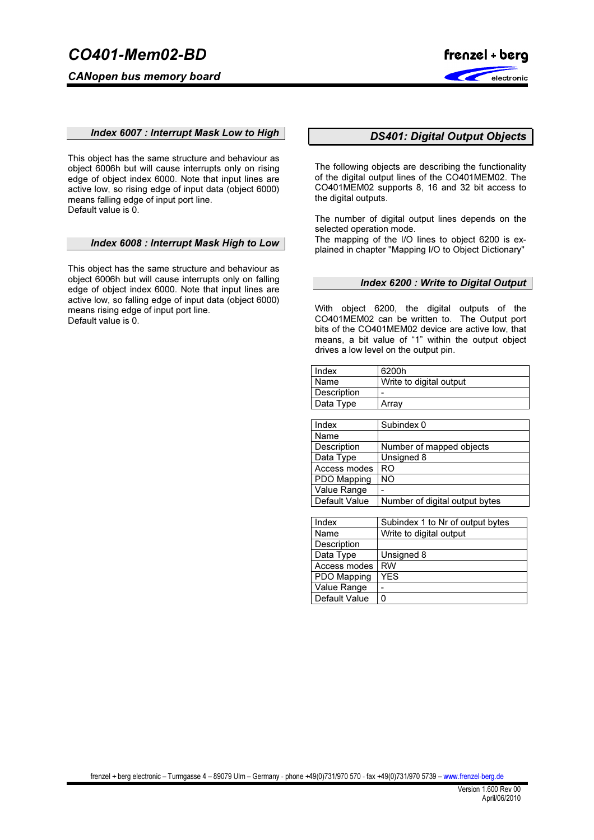CANopen bus memory board



### Index 6007 : Interrupt Mask Low to High

This object has the same structure and behaviour as object 6006h but will cause interrupts only on rising edge of object index 6000. Note that input lines are active low, so rising edge of input data (object 6000) means falling edge of input port line. Default value is 0.

### Index 6008 : Interrupt Mask High to Low

This object has the same structure and behaviour as object 6006h but will cause interrupts only on falling edge of object index 6000. Note that input lines are active low, so falling edge of input data (object 6000) means rising edge of input port line. Default value is 0.

# DS401: Digital Output Objects

The following objects are describing the functionality of the digital output lines of the CO401MEM02. The CO401MEM02 supports 8, 16 and 32 bit access to the digital outputs.

The number of digital output lines depends on the selected operation mode.

The mapping of the I/O lines to object 6200 is explained in chapter "Mapping I/O to Object Dictionary"

#### Index 6200 : Write to Digital Output

With object 6200, the digital outputs of the CO401MEM02 can be written to. The Output port bits of the CO401MEM02 device are active low, that means, a bit value of "1" within the output object drives a low level on the output pin.

| Index              | 6200h                   |
|--------------------|-------------------------|
| Name               | Write to digital output |
| <b>Description</b> | -                       |
| Data Type          | Arrav                   |

| Index         | Subindex 0                     |
|---------------|--------------------------------|
| Name          |                                |
| Description   | Number of mapped objects       |
| Data Type     | Unsigned 8                     |
| Access modes  | <b>RO</b>                      |
| PDO Mapping   | <b>NO</b>                      |
| Value Range   |                                |
| Default Value | Number of digital output bytes |

| Index         | Subindex 1 to Nr of output bytes |
|---------------|----------------------------------|
| Name          | Write to digital output          |
| Description   |                                  |
| Data Type     | Unsigned 8                       |
| Access modes  | <b>RW</b>                        |
| PDO Mapping   | <b>YES</b>                       |
| Value Range   |                                  |
| Default Value | 0                                |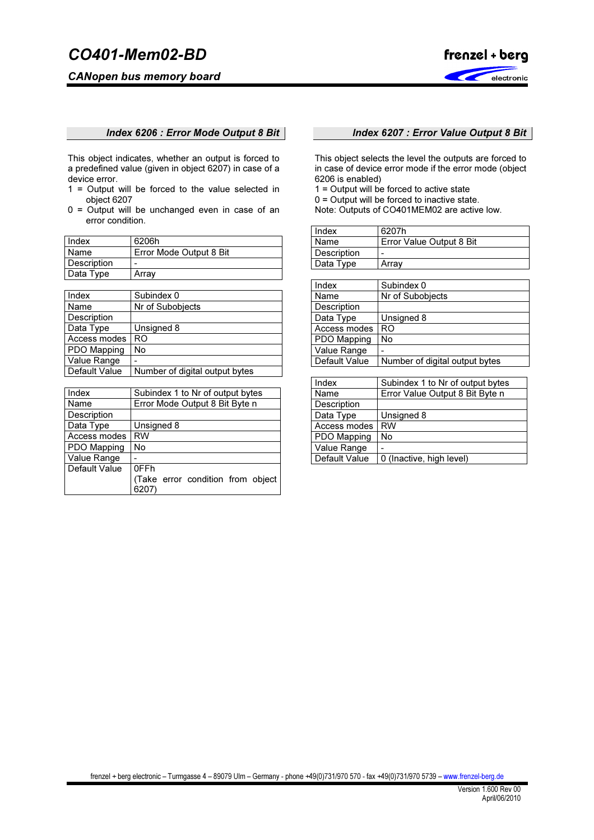# CANopen bus memory board



## Index 6206 : Error Mode Output 8 Bit

This object indicates, whether an output is forced to a predefined value (given in object 6207) in case of a device error.

- 1 = Output will be forced to the value selected in object 6207
- 0 = Output will be unchanged even in case of an error condition.

| Index       | 6206h                   |
|-------------|-------------------------|
| Name        | Error Mode Output 8 Bit |
| Description |                         |
| Data Type   | Arrav                   |

| Index              | Subindex 0                     |
|--------------------|--------------------------------|
| Name               | Nr of Subobjects               |
| Description        |                                |
| Data Type          | Unsigned 8                     |
| Access modes       | RO                             |
| <b>PDO Mapping</b> | No                             |
| Value Range        |                                |
| Default Value      | Number of digital output bytes |

| Index         | Subindex 1 to Nr of output bytes          |
|---------------|-------------------------------------------|
| Name          | Error Mode Output 8 Bit Byte n            |
| Description   |                                           |
| Data Type     | Unsigned 8                                |
| Access modes  | <b>RW</b>                                 |
| PDO Mapping   | No                                        |
| Value Range   |                                           |
| Default Value | 0FFh                                      |
|               | (Take error condition from object<br>6207 |

# Index 6207 : Error Value Output 8 Bit

This object selects the level the outputs are forced to in case of device error mode if the error mode (object 6206 is enabled)

1 = Output will be forced to active state

0 = Output will be forced to inactive state.

Note: Outputs of CO401MEM02 are active low.

| Index              | 6207h                    |
|--------------------|--------------------------|
| Name               | Error Value Output 8 Bit |
| <b>Description</b> | -                        |
| Data Type          | Array                    |

| Subindex 0                     |
|--------------------------------|
| Nr of Subobjects               |
|                                |
| Unsigned 8                     |
| RO                             |
| No                             |
|                                |
| Number of digital output bytes |
|                                |

| Index         | Subindex 1 to Nr of output bytes |
|---------------|----------------------------------|
| Name          | Error Value Output 8 Bit Byte n  |
| Description   |                                  |
| Data Type     | Unsigned 8                       |
| Access modes  | <b>RW</b>                        |
| PDO Mapping   | No                               |
| Value Range   |                                  |
| Default Value | 0 (Inactive, high level)         |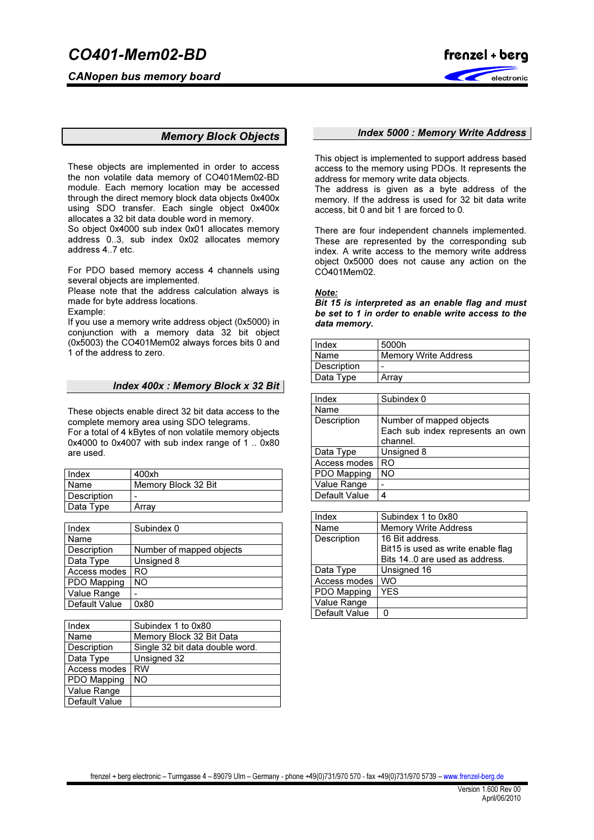CANopen bus memory board



# Memory Block Objects

These objects are implemented in order to access the non volatile data memory of CO401Mem02-BD module. Each memory location may be accessed through the direct memory block data objects 0x400x using SDO transfer. Each single object 0x400x allocates a 32 bit data double word in memory.

So object 0x4000 sub index 0x01 allocates memory address 0..3, sub index 0x02 allocates memory address 4..7 etc.

For PDO based memory access 4 channels using several objects are implemented.

Please note that the address calculation always is made for byte address locations.

Example:

If you use a memory write address object (0x5000) in conjunction with a memory data 32 bit object (0x5003) the CO401Mem02 always forces bits 0 and 1 of the address to zero.

## Index 400x : Memory Block x 32 Bit

These objects enable direct 32 bit data access to the complete memory area using SDO telegrams.

For a total of 4 kBytes of non volatile memory objects 0x4000 to 0x4007 with sub index range of 1 .. 0x80 are used.

| Index       | 400xh               |
|-------------|---------------------|
| Name        | Memory Block 32 Bit |
| Description | -                   |
| Data Type   | Arrav               |
|             |                     |

| Index         | Subindex 0               |
|---------------|--------------------------|
| Name          |                          |
| Description   | Number of mapped objects |
| Data Type     | Unsigned 8               |
| Access modes  | RO                       |
| PDO Mapping   | NO.                      |
| Value Range   |                          |
| Default Value | 0x80                     |

| Index         | Subindex 1 to 0x80              |
|---------------|---------------------------------|
| Name          | Memory Block 32 Bit Data        |
| Description   | Single 32 bit data double word. |
| Data Type     | Unsigned 32                     |
| Access modes  | <b>RW</b>                       |
| PDO Mapping   | NO                              |
| Value Range   |                                 |
| Default Value |                                 |

### Index 5000 : Memory Write Address

This object is implemented to support address based access to the memory using PDOs. It represents the address for memory write data objects.

The address is given as a byte address of the memory. If the address is used for 32 bit data write access, bit 0 and bit 1 are forced to 0.

There are four independent channels implemented. These are represented by the corresponding sub index. A write access to the memory write address object 0x5000 does not cause any action on the CO401Mem02.

Note:

Bit 15 is interpreted as an enable flag and must be set to 1 in order to enable write access to the data memory.

| Index              | 5000h                       |
|--------------------|-----------------------------|
| Name               | <b>Memory Write Address</b> |
| <b>Description</b> | -                           |
| Data Type          | Arrav                       |

| Index         | Subindex 0                                   |
|---------------|----------------------------------------------|
| Name          |                                              |
| Description   | Number of mapped objects                     |
|               | Each sub index represents an own<br>channel. |
| Data Type     | Unsigned 8                                   |
| Access modes  | RO                                           |
| PDO Mapping   | NΟ                                           |
| Value Range   |                                              |
| Default Value | Δ                                            |

| Index         | Subindex 1 to 0x80                 |
|---------------|------------------------------------|
| Name          | <b>Memory Write Address</b>        |
| Description   | 16 Bit address.                    |
|               | Bit15 is used as write enable flag |
|               | Bits 14.0 are used as address.     |
| Data Type     | Unsigned 16                        |
| Access modes  | WO                                 |
| PDO Mapping   | <b>YES</b>                         |
| Value Range   |                                    |
| Default Value |                                    |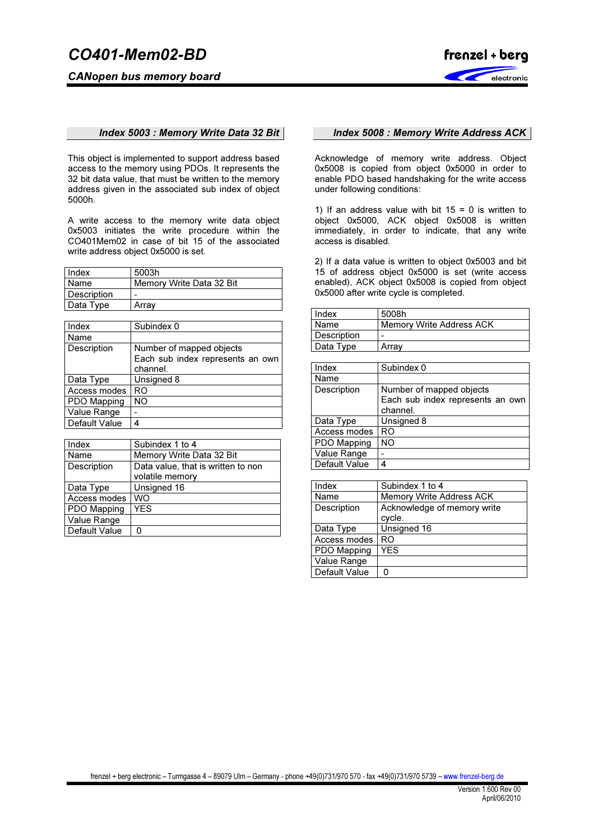CANopen bus memory board



## Index 5003 : Memory Write Data 32 Bit

This object is implemented to support address based access to the memory using PDOs. It represents the 32 bit data value, that must be written to the memory address given in the associated sub index of object 5000h.

A write access to the memory write data object 0x5003 initiates the write procedure within the CO401Mem02 in case of bit 15 of the associated write address object 0x5000 is set.

| Index       | 5003h                    |
|-------------|--------------------------|
| Name        | Memory Write Data 32 Bit |
| Description | -                        |
| Data Type   | Arrav                    |

| Index         | Subindex 0                       |
|---------------|----------------------------------|
| Name          |                                  |
| Description   | Number of mapped objects         |
|               | Each sub index represents an own |
|               | channel.                         |
| Data Type     | Unsigned 8                       |
| Access modes  | RO                               |
| PDO Mapping   | NΟ                               |
| Value Range   |                                  |
| Default Value |                                  |

| Index         | Subindex 1 to 4                    |
|---------------|------------------------------------|
| Name          | Memory Write Data 32 Bit           |
| Description   | Data value, that is written to non |
|               | volatile memory                    |
| Data Type     | Unsigned 16                        |
| Access modes  | WO                                 |
| PDO Mapping   | <b>YES</b>                         |
| Value Range   |                                    |
| Default Value |                                    |

# Index 5008 : Memory Write Address ACK

Acknowledge of memory write address. Object 0x5008 is copied from object 0x5000 in order to enable PDO based handshaking for the write access under following conditions:

1) If an address value with bit  $15 = 0$  is written to object 0x5000, ACK object 0x5008 is written immediately, in order to indicate, that any write access is disabled.

2) If a data value is written to object 0x5003 and bit 15 of address object 0x5000 is set (write access enabled), ACK object 0x5008 is copied from object 0x5000 after write cycle is completed.

| Index              | 5008h                    |
|--------------------|--------------------------|
| <b>Name</b>        | Memory Write Address ACK |
| <b>Description</b> | -                        |
| Data Type          | Array                    |

| Index         | Subindex 0                       |
|---------------|----------------------------------|
| Name          |                                  |
| Description   | Number of mapped objects         |
|               | Each sub index represents an own |
|               | channel.                         |
| Data Type     | Unsigned 8                       |
| Access modes  | RO                               |
| PDO Mapping   | NΟ                               |
| Value Range   |                                  |
| Default Value |                                  |

| Index         | Subindex 1 to 4                 |
|---------------|---------------------------------|
| Name          | <b>Memory Write Address ACK</b> |
| Description   | Acknowledge of memory write     |
|               | cycle.                          |
| Data Type     | Unsigned 16                     |
| Access modes  | R <sub>O</sub>                  |
| PDO Mapping   | <b>YES</b>                      |
| Value Range   |                                 |
| Default Value |                                 |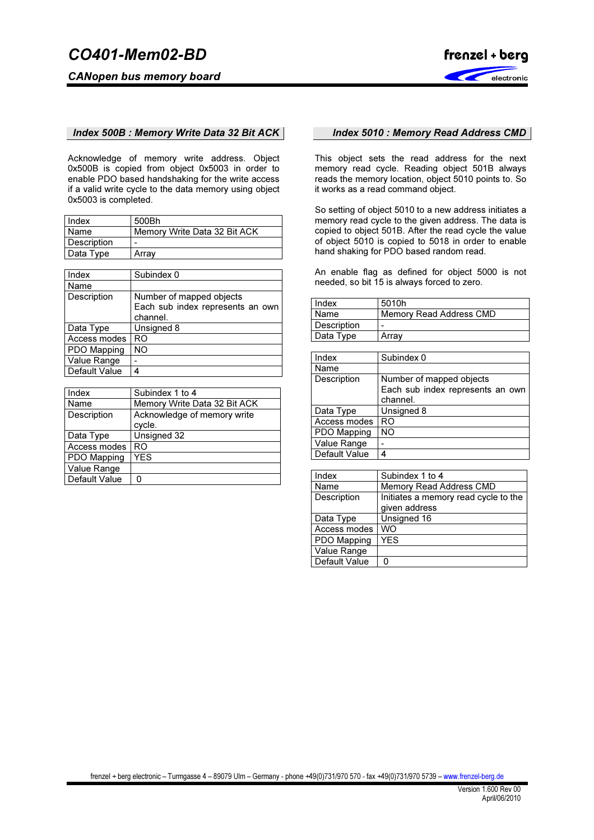

## Index 500B : Memory Write Data 32 Bit ACK

Acknowledge of memory write address. Object 0x500B is copied from object 0x5003 in order to enable PDO based handshaking for the write access if a valid write cycle to the data memory using object 0x5003 is completed.

| Index       | 500Bh                        |
|-------------|------------------------------|
| Name        | Memory Write Data 32 Bit ACK |
| Description | -                            |
| Data Type   | Array                        |

| Index         | Subindex 0                       |
|---------------|----------------------------------|
| Name          |                                  |
| Description   | Number of mapped objects         |
|               | Each sub index represents an own |
|               | channel.                         |
| Data Type     | Unsigned 8                       |
| Access modes  | RO                               |
| PDO Mapping   | NΟ                               |
| Value Range   |                                  |
| Default Value | 4                                |

| Index         | Subindex 1 to 4              |
|---------------|------------------------------|
| Name          | Memory Write Data 32 Bit ACK |
| Description   | Acknowledge of memory write  |
|               | cycle.                       |
| Data Type     | Unsigned 32                  |
| Access modes  | RO                           |
| PDO Mapping   | YES                          |
| Value Range   |                              |
| Default Value |                              |

#### Index 5010 : Memory Read Address CMD

This object sets the read address for the next memory read cycle. Reading object 501B always reads the memory location, object 5010 points to. So it works as a read command object.

So setting of object 5010 to a new address initiates a memory read cycle to the given address. The data is copied to object 501B. After the read cycle the value of object 5010 is copied to 5018 in order to enable hand shaking for PDO based random read.

An enable flag as defined for object 5000 is not needed, so bit 15 is always forced to zero.

| <b>Index</b> | 5010h                   |  |  |  |
|--------------|-------------------------|--|--|--|
| <b>Name</b>  | Memory Read Address CMD |  |  |  |
| Description  |                         |  |  |  |
| Data Type    | Array                   |  |  |  |

| Index         | Subindex 0                       |  |  |  |
|---------------|----------------------------------|--|--|--|
| Name          |                                  |  |  |  |
| Description   | Number of mapped objects         |  |  |  |
|               | Each sub index represents an own |  |  |  |
|               | channel.                         |  |  |  |
| Data Type     | Unsigned 8                       |  |  |  |
| Access modes  | RO                               |  |  |  |
| PDO Mapping   | <b>NO</b>                        |  |  |  |
| Value Range   |                                  |  |  |  |
| Default Value |                                  |  |  |  |

| Index         | Subindex 1 to 4                      |  |  |  |  |
|---------------|--------------------------------------|--|--|--|--|
| Name          | Memory Read Address CMD              |  |  |  |  |
| Description   | Initiates a memory read cycle to the |  |  |  |  |
|               | given address                        |  |  |  |  |
| Data Type     | Unsigned 16                          |  |  |  |  |
| Access modes  | WO                                   |  |  |  |  |
| PDO Mapping   | <b>YFS</b>                           |  |  |  |  |
| Value Range   |                                      |  |  |  |  |
| Default Value |                                      |  |  |  |  |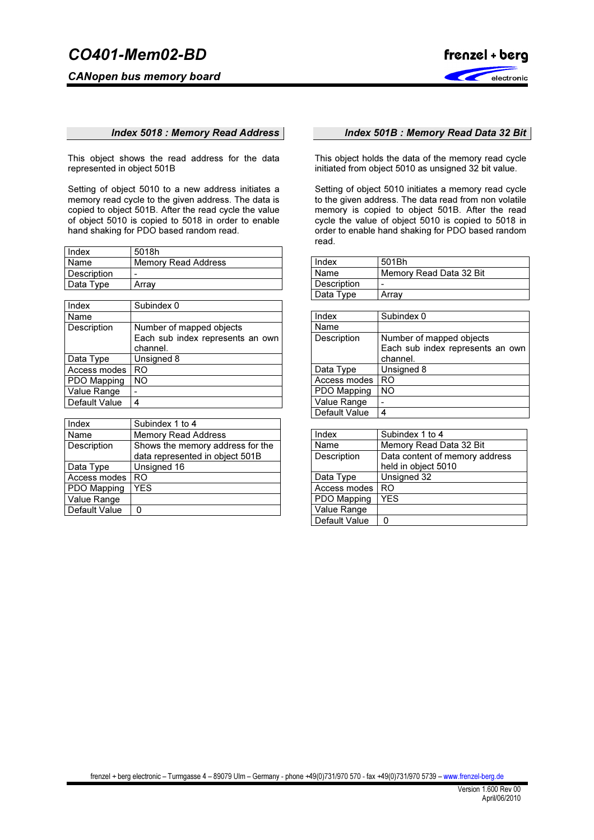CANopen bus memory board



### Index 5018 : Memory Read Address

This object shows the read address for the data represented in object 501B

Setting of object 5010 to a new address initiates a memory read cycle to the given address. The data is copied to object 501B. After the read cycle the value of object 5010 is copied to 5018 in order to enable hand shaking for PDO based random read.

| Index       | 5018h                      |
|-------------|----------------------------|
| Name        | <b>Memory Read Address</b> |
| Description | -                          |
| Data Type   | Array                      |

| Index         | Subindex 0                       |
|---------------|----------------------------------|
| Name          |                                  |
| Description   | Number of mapped objects         |
|               | Each sub index represents an own |
|               | channel.                         |
| Data Type     | Unsigned 8                       |
| Access modes  | RO                               |
| PDO Mapping   | NO                               |
| Value Range   |                                  |
| Default Value |                                  |

| Index         | Subindex 1 to 4                  |  |  |  |  |
|---------------|----------------------------------|--|--|--|--|
| Name          | <b>Memory Read Address</b>       |  |  |  |  |
| Description   | Shows the memory address for the |  |  |  |  |
|               | data represented in object 501B  |  |  |  |  |
| Data Type     | Unsigned 16                      |  |  |  |  |
| Access modes  | RO                               |  |  |  |  |
| PDO Mapping   | YES                              |  |  |  |  |
| Value Range   |                                  |  |  |  |  |
| Default Value |                                  |  |  |  |  |

## Index 501B : Memory Read Data 32 Bit

This object holds the data of the memory read cycle initiated from object 5010 as unsigned 32 bit value.

Setting of object 5010 initiates a memory read cycle to the given address. The data read from non volatile memory is copied to object 501B. After the read cycle the value of object 5010 is copied to 5018 in order to enable hand shaking for PDO based random read.

| Index              | 501Bh                   |  |  |  |
|--------------------|-------------------------|--|--|--|
| Name               | Memory Read Data 32 Bit |  |  |  |
| <b>Description</b> | -                       |  |  |  |
| Data Type          | Array                   |  |  |  |

| Index         | Subindex 0                       |
|---------------|----------------------------------|
| Name          |                                  |
| Description   | Number of mapped objects         |
|               | Each sub index represents an own |
|               | channel.                         |
| Data Type     | Unsigned 8                       |
| Access modes  | RO                               |
| PDO Mapping   | <b>NO</b>                        |
| Value Range   |                                  |
| Default Value |                                  |

| Index         | Subindex 1 to 4                                       |  |  |  |  |
|---------------|-------------------------------------------------------|--|--|--|--|
| Name          | Memory Read Data 32 Bit                               |  |  |  |  |
| Description   | Data content of memory address<br>held in object 5010 |  |  |  |  |
| Data Type     | Unsigned 32                                           |  |  |  |  |
| Access modes  | <b>RO</b>                                             |  |  |  |  |
| PDO Mapping   | <b>YES</b>                                            |  |  |  |  |
| Value Range   |                                                       |  |  |  |  |
| Default Value | ი                                                     |  |  |  |  |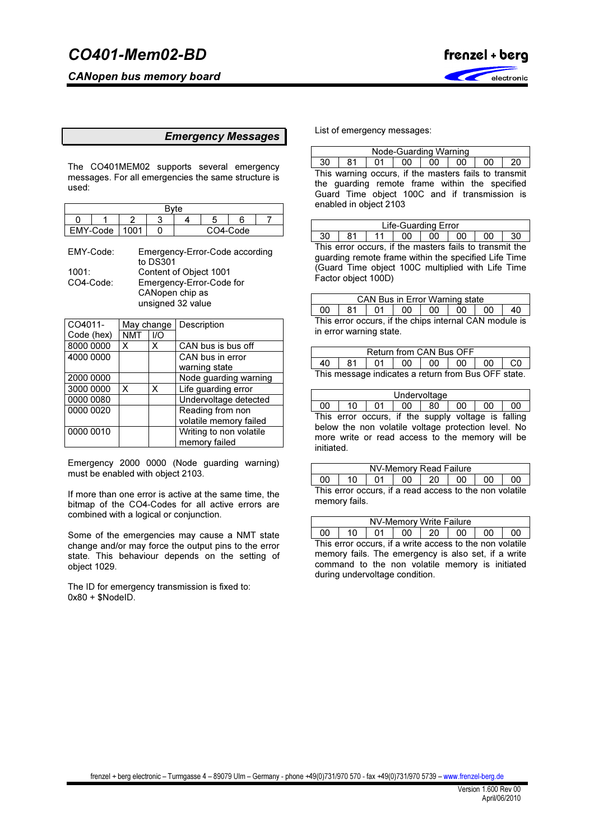CANopen bus memory board



## Emergency Messages

The CO401MEM02 supports several emergency messages. For all emergencies the same structure is used:

| <b>Ryte</b> |          |      |  |  |  |          |  |
|-------------|----------|------|--|--|--|----------|--|
|             |          |      |  |  |  |          |  |
|             | EMY-Code | 1001 |  |  |  | CO4-Code |  |

| EMY-Code: | Emergency-Error-Code according |
|-----------|--------------------------------|
|           | to DS301                       |
| 1001:     | Content of Object 1001         |
| CO4-Code: | Emergency-Error-Code for       |
|           | CANopen chip as                |
|           | unsigned 32 value              |

| CO4011-    | May change |     | Description             |
|------------|------------|-----|-------------------------|
| Code (hex) | <b>NMT</b> | 1/O |                         |
| 8000 0000  | X          | x   | CAN bus is bus off      |
| 4000 0000  |            |     | CAN bus in error        |
|            |            |     | warning state           |
| 2000 0000  |            |     | Node guarding warning   |
| 3000 0000  | X          | X   | Life guarding error     |
| 0000 0080  |            |     | Undervoltage detected   |
| 0000 0020  |            |     | Reading from non        |
|            |            |     | volatile memory failed  |
| 0000 0010  |            |     | Writing to non volatile |
|            |            |     | memory failed           |

Emergency 2000 0000 (Node guarding warning) must be enabled with object 2103.

If more than one error is active at the same time, the bitmap of the CO4-Codes for all active errors are combined with a logical or conjunction.

Some of the emergencies may cause a NMT state change and/or may force the output pins to the error state. This behaviour depends on the setting of object 1029.

The ID for emergency transmission is fixed to:  $0x80 + $NodeID$ .

List of emergency messages:

|                                                      | Node-Guarding Warning |    |    |  |  |    |  |  |  |
|------------------------------------------------------|-----------------------|----|----|--|--|----|--|--|--|
|                                                      | -81                   | 01 | 00 |  |  | 00 |  |  |  |
| This warning assure if the meaters follo to transmit |                       |    |    |  |  |    |  |  |  |

This warning occurs, if the masters fails to transmit the guarding remote frame within the specified Guard Time object 100C and if transmission is enabled in object 2103

|    | ∟ife-Guarding Error |  |    |    |    |    |    |  |  |
|----|---------------------|--|----|----|----|----|----|--|--|
| 30 | 81                  |  | 00 | 00 | 00 | 00 | 30 |  |  |

This error occurs, if the masters fails to transmit the guarding remote frame within the specified Life Time (Guard Time object 100C multiplied with Life Time Factor object 100D)

|    | <b>CAN Bus in Error Warning state</b>                   |  |                   |  |  |     |    |  |  |
|----|---------------------------------------------------------|--|-------------------|--|--|-----|----|--|--|
| 00 | 81                                                      |  | 01   00   00   00 |  |  | -00 | 40 |  |  |
|    | This error occurs if the chins internal $CAN$ module is |  |                   |  |  |     |    |  |  |

his error occurs, if the chips internal CAN module is in error warning state.

| Return from CAN Bus OFF                             |  |  |                                  |  |  |  |  |  |  |
|-----------------------------------------------------|--|--|----------------------------------|--|--|--|--|--|--|
| 40                                                  |  |  | 81   01   00   00   00   00   C0 |  |  |  |  |  |  |
| This message indicates a return from Bus OFF state. |  |  |                                  |  |  |  |  |  |  |

| Undervoltage |    |                                                     |        |      |    |      |    |  |
|--------------|----|-----------------------------------------------------|--------|------|----|------|----|--|
| 00           | 10 | - 01                                                | $00-1$ | l 80 | 00 | - ററ | 00 |  |
|              |    | This error occurs, if the supply voltage is falling |        |      |    |      |    |  |
|              |    | below the non volatile voltage protection level. No |        |      |    |      |    |  |
| initiated.   |    | more write or read access to the memory will be     |        |      |    |      |    |  |

| NV-Memory Read Failure                                  |               |    |  |          |  |    |    |  |  |
|---------------------------------------------------------|---------------|----|--|----------|--|----|----|--|--|
| 00                                                      | 10            | 01 |  | 00 20 00 |  | 00 | 00 |  |  |
| This error occurs, if a read access to the non volatile |               |    |  |          |  |    |    |  |  |
|                                                         | memory fails. |    |  |          |  |    |    |  |  |

|                                                         |  | NV-Memory Write Failure |  |    |    |  |  |
|---------------------------------------------------------|--|-------------------------|--|----|----|--|--|
|                                                         |  | 01   00   20            |  | 00 | 00 |  |  |
| This error occurs if a write access to the non volatile |  |                         |  |    |    |  |  |

ırs, if a write access to the r memory fails. The emergency is also set, if a write command to the non volatile memory is initiated during undervoltage condition.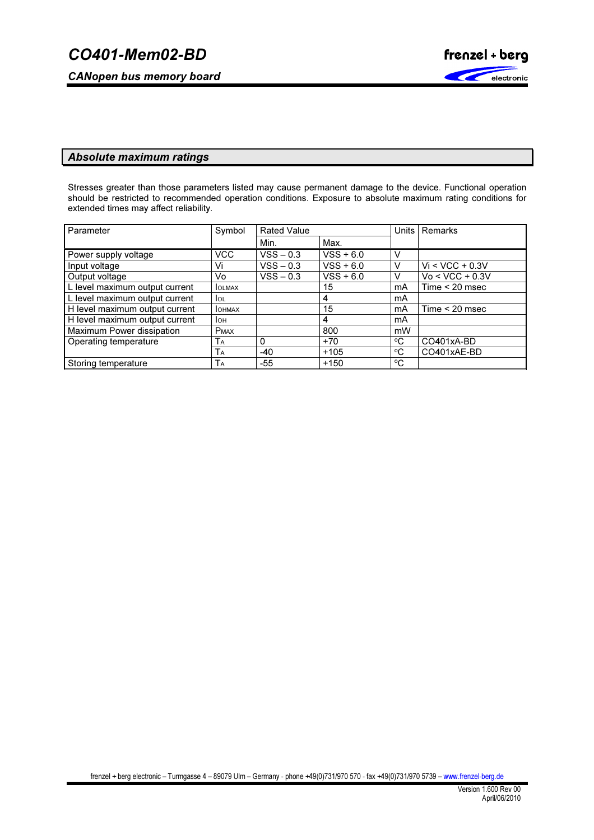CANopen bus memory board



# Absolute maximum ratings

Stresses greater than those parameters listed may cause permanent damage to the device. Functional operation should be restricted to recommended operation conditions. Exposure to absolute maximum rating conditions for extended times may affect reliability.

| Parameter                      | Symbol         | <b>Rated Value</b> |             | Units I | Remarks           |
|--------------------------------|----------------|--------------------|-------------|---------|-------------------|
|                                |                | Min.               | Max.        |         |                   |
| Power supply voltage           | <b>VCC</b>     | $VSS - 0.3$        | $VSS + 6.0$ |         |                   |
| Input voltage                  | Vi             | $VSS - 0.3$        | $VSS + 6.0$ |         | $Vi < VCC + 0.3V$ |
| Output voltage                 | Vo             | $VSS - 0.3$        | $VSS + 6.0$ |         | $Vo < VCC + 0.3V$ |
| L level maximum output current | <b>IOLMAX</b>  |                    | 15          | mA      | Time $<$ 20 msec  |
| L level maximum output current | lol            |                    | 4           | mA      |                   |
| H level maximum output current | <b>I</b> OHMAX |                    | 15          | mA      | Time $<$ 20 msec  |
| H level maximum output current | Іон            |                    | 4           | mA      |                   |
| Maximum Power dissipation      | <b>PMAX</b>    |                    | 800         | mW      |                   |
| Operating temperature          | ТA             | 0                  | $+70$       | °C      | CO401xA-BD        |
|                                | TA             | $-40$              | $+105$      | °C      | CO401xAE-BD       |
| Storing temperature            | TA             | -55                | $+150$      | °C      |                   |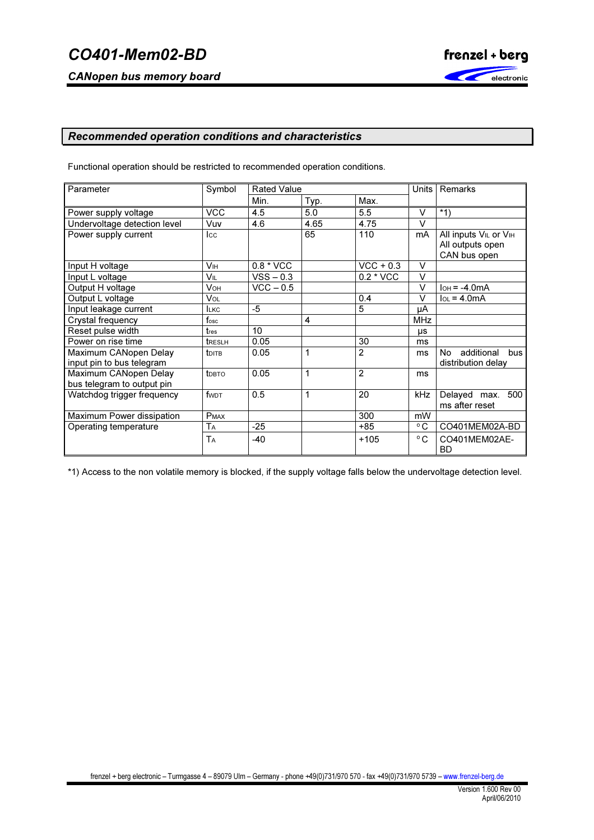CANopen bus memory board



# Recommended operation conditions and characteristics

Functional operation should be restricted to recommended operation conditions.

| Parameter                    | Symbol            | <b>Rated Value</b> |      |                | Units        | Remarks                       |
|------------------------------|-------------------|--------------------|------|----------------|--------------|-------------------------------|
|                              |                   | Min.               | Typ. | Max.           |              |                               |
| Power supply voltage         | <b>VCC</b>        | 4.5                | 5.0  | 5.5            | $\vee$       | $*1)$                         |
| Undervoltage detection level | Vuv               | 4.6                | 4.65 | 4.75           | $\vee$       |                               |
| Power supply current         | Icc               |                    | 65   | 110            | mA           | All inputs VIL or VIH         |
|                              |                   |                    |      |                |              | All outputs open              |
|                              |                   |                    |      |                |              | CAN bus open                  |
| Input H voltage              | Vн                | 0.8 * VCC          |      | $VCC + 0.3$    | $\vee$       |                               |
| Input L voltage              | Vil               | $VSS - 0.3$        |      | 0.2 * VCC      | V            |                               |
| Output H voltage             | <b>V</b> он       | $VCC - 0.5$        |      |                | V            | $I$ <sub>OH</sub> = $-4.0$ mA |
| Output L voltage             | Vol               |                    |      | 0.4            | V            | $IOL = 4.0mA$                 |
| Input leakage current        | <b>LKC</b>        | $-5$               |      | 5              | μA           |                               |
| Crystal frequency            | $f_{\rm osc}$     |                    | 4    |                | <b>MHz</b>   |                               |
| Reset pulse width            | tres              | 10 <sup>°</sup>    |      |                | μs           |                               |
| Power on rise time           | treslh            | 0.05               |      | 30             | ms           |                               |
| Maximum CANopen Delay        | <b>t</b> DITB     | 0.05               | 1    | $\overline{2}$ | ms           | additional<br>No<br>bus       |
| input pin to bus telegram    |                   |                    |      |                |              | distribution delay            |
| Maximum CANopen Delay        | t <sub>DBTO</sub> | 0.05               | 1    | $\overline{2}$ | ms           |                               |
| bus telegram to output pin   |                   |                    |      |                |              |                               |
| Watchdog trigger frequency   | fwdt              | 0.5                | 1    | 20             | kHz          | Delayed max.<br>500           |
|                              |                   |                    |      |                |              | ms after reset                |
| Maximum Power dissipation    | <b>PMAX</b>       |                    |      | 300            | mW           |                               |
| Operating temperature        | Tа                | $-25$              |      | +85            | $^{\circ}$ C | CO401MEM02A-BD                |
|                              | TA                | -40                |      | $+105$         | °C           | CO401MEM02AE-                 |
|                              |                   |                    |      |                |              | <b>BD</b>                     |

\*1) Access to the non volatile memory is blocked, if the supply voltage falls below the undervoltage detection level.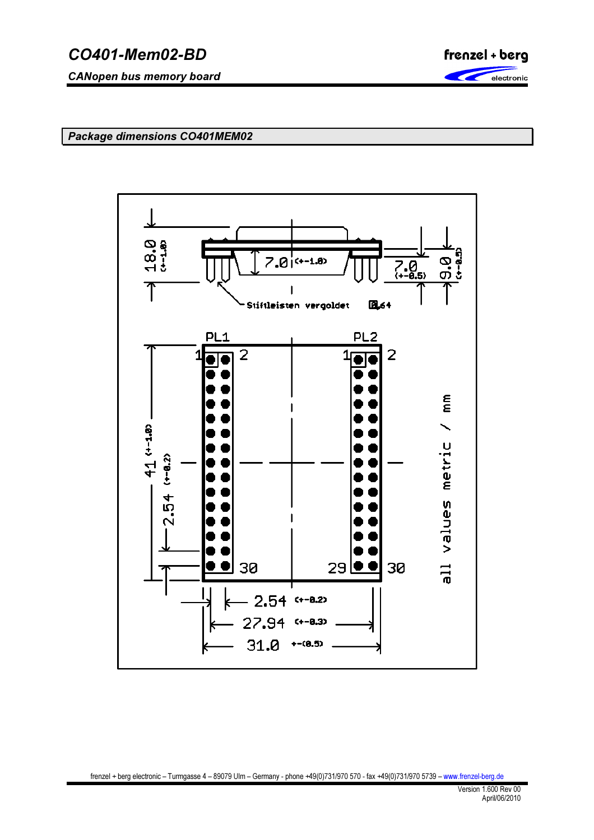CANopen bus memory board



Package dimensions CO401MEM02

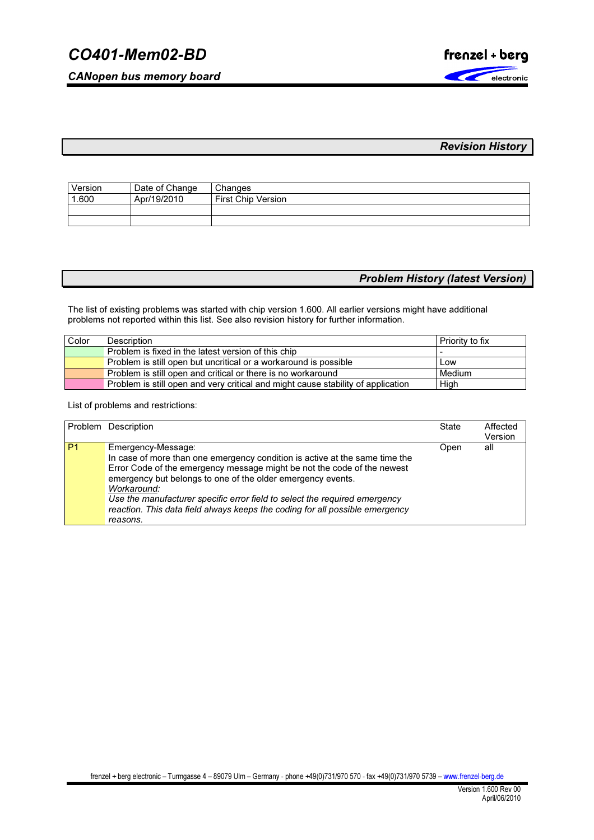CANopen bus memory board



# Revision History

| Version | Date of Change | Changes              |
|---------|----------------|----------------------|
| 1.600   | Apr/19/2010    | l First Chip Version |
|         |                |                      |
|         |                |                      |

# Problem History (latest Version)

The list of existing problems was started with chip version 1.600. All earlier versions might have additional problems not reported within this list. See also revision history for further information.

| Color | Description                                                                      | Priority to fix |
|-------|----------------------------------------------------------------------------------|-----------------|
|       | Problem is fixed in the latest version of this chip                              |                 |
|       | Problem is still open but uncritical or a workaround is possible                 | Low             |
|       | Problem is still open and critical or there is no workaround                     | Medium          |
|       | Problem is still open and very critical and might cause stability of application | High            |

List of problems and restrictions:

|                | Problem Description                                                                                                                                                                                                                                                                                                                                                                                                                  | <b>State</b> | Affected<br>Version |
|----------------|--------------------------------------------------------------------------------------------------------------------------------------------------------------------------------------------------------------------------------------------------------------------------------------------------------------------------------------------------------------------------------------------------------------------------------------|--------------|---------------------|
| P <sub>1</sub> | Emergency-Message:<br>In case of more than one emergency condition is active at the same time the<br>Error Code of the emergency message might be not the code of the newest<br>emergency but belongs to one of the older emergency events.<br>Workaround:<br>Use the manufacturer specific error field to select the required emergency<br>reaction. This data field always keeps the coding for all possible emergency<br>reasons. | Open         | all                 |